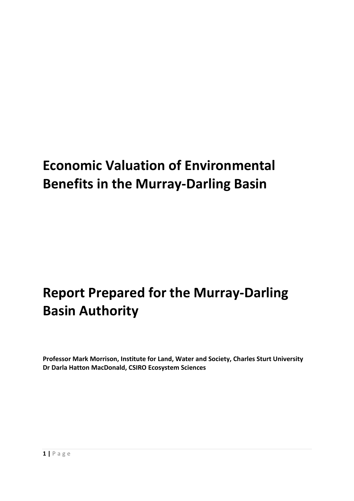# **Economic Valuation of Environmental Benefits in the Murray-Darling Basin**

# **Report Prepared for the Murray-Darling Basin Authority**

**Professor Mark Morrison, Institute for Land, Water and Society, Charles Sturt University Dr Darla Hatton MacDonald, CSIRO Ecosystem Sciences**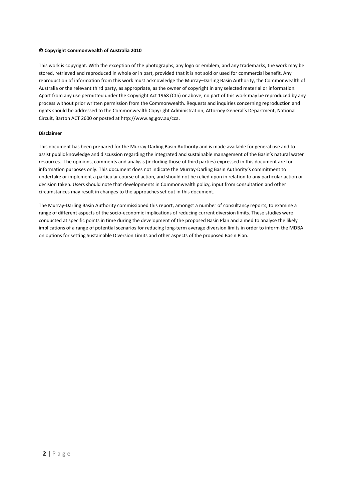#### **© Copyright Commonwealth of Australia 2010**

This work is copyright. With the exception of the photographs, any logo or emblem, and any trademarks, the work may be stored, retrieved and reproduced in whole or in part, provided that it is not sold or used for commercial benefit. Any reproduction of information from this work must acknowledge the Murray–Darling Basin Authority, the Commonwealth of Australia or the relevant third party, as appropriate, as the owner of copyright in any selected material or information. Apart from any use permitted under the Copyright Act 1968 (Cth) or above, no part of this work may be reproduced by any process without prior written permission from the Commonwealth. Requests and inquiries concerning reproduction and rights should be addressed to the Commonwealth Copyright Administration, Attorney General's Department, National Circuit, Barton ACT 2600 or posted at http://www.ag.gov.au/cca.

#### **Disclaimer**

This document has been prepared for the Murray-Darling Basin Authority and is made available for general use and to assist public knowledge and discussion regarding the integrated and sustainable management of the Basin's natural water resources. The opinions, comments and analysis (including those of third parties) expressed in this document are for information purposes only. This document does not indicate the Murray-Darling Basin Authority's commitment to undertake or implement a particular course of action, and should not be relied upon in relation to any particular action or decision taken. Users should note that developments in Commonwealth policy, input from consultation and other circumstances may result in changes to the approaches set out in this document.

The Murray-Darling Basin Authority commissioned this report, amongst a number of consultancy reports, to examine a range of different aspects of the socio-economic implications of reducing current diversion limits. These studies were conducted at specific points in time during the development of the proposed Basin Plan and aimed to analyse the likely implications of a range of potential scenarios for reducing long-term average diversion limits in order to inform the MDBA on options for setting Sustainable Diversion Limits and other aspects of the proposed Basin Plan.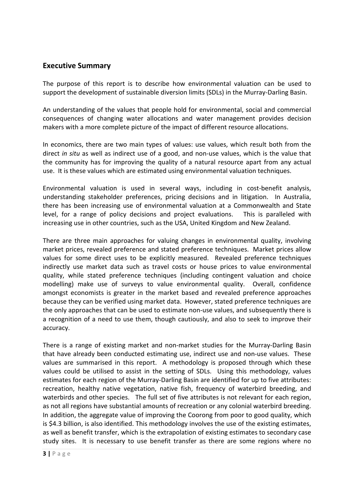#### **Executive Summary**

The purpose of this report is to describe how environmental valuation can be used to support the development of sustainable diversion limits (SDLs) in the Murray-Darling Basin.

An understanding of the values that people hold for environmental, social and commercial consequences of changing water allocations and water management provides decision makers with a more complete picture of the impact of different resource allocations.

In economics, there are two main types of values: use values, which result both from the direct *in situ* as well as indirect use of a good, and non-use values, which is the value that the community has for improving the quality of a natural resource apart from any actual use. It is these values which are estimated using environmental valuation techniques.

Environmental valuation is used in several ways, including in cost-benefit analysis, understanding stakeholder preferences, pricing decisions and in litigation. In Australia, there has been increasing use of environmental valuation at a Commonwealth and State level, for a range of policy decisions and project evaluations. This is paralleled with increasing use in other countries, such as the USA, United Kingdom and New Zealand.

There are three main approaches for valuing changes in environmental quality, involving market prices, revealed preference and stated preference techniques. Market prices allow values for some direct uses to be explicitly measured. Revealed preference techniques indirectly use market data such as travel costs or house prices to value environmental quality, while stated preference techniques (including contingent valuation and choice modelling) make use of surveys to value environmental quality. Overall, confidence amongst economists is greater in the market based and revealed preference approaches because they can be verified using market data. However, stated preference techniques are the only approaches that can be used to estimate non-use values, and subsequently there is a recognition of a need to use them, though cautiously, and also to seek to improve their accuracy.

There is a range of existing market and non-market studies for the Murray-Darling Basin that have already been conducted estimating use, indirect use and non-use values. These values are summarised in this report. A methodology is proposed through which these values could be utilised to assist in the setting of SDLs. Using this methodology, values estimates for each region of the Murray-Darling Basin are identified for up to five attributes: recreation, healthy native vegetation, native fish, frequency of waterbird breeding, and waterbirds and other species. The full set of five attributes is not relevant for each region, as not all regions have substantial amounts of recreation or any colonial waterbird breeding. In addition, the aggregate value of improving the Coorong from poor to good quality, which is \$4.3 billion, is also identified. This methodology involves the use of the existing estimates, as well as benefit transfer, which is the extrapolation of existing estimates to secondary case study sites. It is necessary to use benefit transfer as there are some regions where no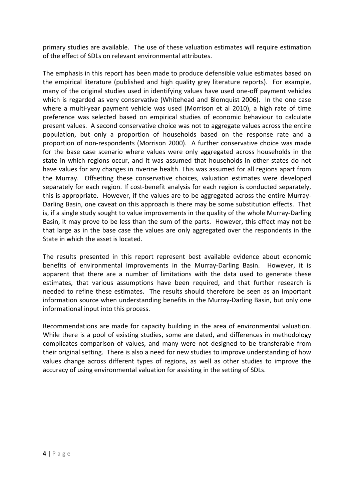primary studies are available. The use of these valuation estimates will require estimation of the effect of SDLs on relevant environmental attributes.

The emphasis in this report has been made to produce defensible value estimates based on the empirical literature (published and high quality grey literature reports). For example, many of the original studies used in identifying values have used one-off payment vehicles which is regarded as very conservative (Whitehead and Blomquist 2006). In the one case where a multi-year payment vehicle was used (Morrison et al 2010), a high rate of time preference was selected based on empirical studies of economic behaviour to calculate present values. A second conservative choice was not to aggregate values across the entire population, but only a proportion of households based on the response rate and a proportion of non-respondents (Morrison 2000). A further conservative choice was made for the base case scenario where values were only aggregated across households in the state in which regions occur, and it was assumed that households in other states do not have values for any changes in riverine health. This was assumed for all regions apart from the Murray. Offsetting these conservative choices, valuation estimates were developed separately for each region. If cost-benefit analysis for each region is conducted separately, this is appropriate. However, if the values are to be aggregated across the entire Murray-Darling Basin, one caveat on this approach is there may be some substitution effects. That is, if a single study sought to value improvements in the quality of the whole Murray-Darling Basin, it may prove to be less than the sum of the parts. However, this effect may not be that large as in the base case the values are only aggregated over the respondents in the State in which the asset is located.

The results presented in this report represent best available evidence about economic benefits of environmental improvements in the Murray-Darling Basin. However, it is apparent that there are a number of limitations with the data used to generate these estimates, that various assumptions have been required, and that further research is needed to refine these estimates. The results should therefore be seen as an important information source when understanding benefits in the Murray-Darling Basin, but only one informational input into this process.

Recommendations are made for capacity building in the area of environmental valuation. While there is a pool of existing studies, some are dated, and differences in methodology complicates comparison of values, and many were not designed to be transferable from their original setting. There is also a need for new studies to improve understanding of how values change across different types of regions, as well as other studies to improve the accuracy of using environmental valuation for assisting in the setting of SDLs.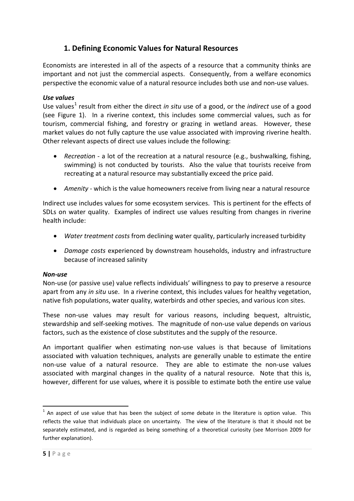## **1. Defining Economic Values for Natural Resources**

Economists are interested in all of the aspects of a resource that a community thinks are important and not just the commercial aspects. Consequently, from a welfare economics perspective the economic value of a natural resource includes both use and non-use values.

#### *Use values*

Use values<sup>[1](#page-4-0)</sup> result from either the direct *in situ* use of a good, or the *indirect* use of a good (see Figure 1). In a riverine context, this includes some commercial values, such as for tourism, commercial fishing, and forestry or grazing in wetland areas. However, these market values do not fully capture the use value associated with improving riverine health. Other relevant aspects of direct use values include the following:

- *Recreation* a lot of the recreation at a natural resource (e.g., bushwalking, fishing, swimming) is not conducted by tourists. Also the value that tourists receive from recreating at a natural resource may substantially exceed the price paid.
- *Amenity* which is the value homeowners receive from living near a natural resource

Indirect use includes values for some ecosystem services. This is pertinent for the effects of SDLs on water quality. Examples of indirect use values resulting from changes in riverine health include:

- *Water treatment costs* from declining water quality, particularly increased turbidity
- *Damage costs* experienced by downstream households, industry and infrastructure because of increased salinity

#### *Non-use*

Non-use (or passive use) value reflects individuals' willingness to pay to preserve a resource apart from any *in situ* use. In a riverine context, this includes values for healthy vegetation, native fish populations, water quality, waterbirds and other species, and various icon sites.

These non-use values may result for various reasons, including bequest, altruistic, stewardship and self-seeking motives. The magnitude of non-use value depends on various factors, such as the existence of close substitutes and the supply of the resource.

An important qualifier when estimating non-use values is that because of limitations associated with valuation techniques, analysts are generally unable to estimate the entire non-use value of a natural resource. They are able to estimate the non-use values associated with marginal changes in the quality of a natural resource. Note that this is, however, different for use values, where it is possible to estimate both the entire use value

<span id="page-4-0"></span> $1$  An aspect of use value that has been the subject of some debate in the literature is option value. This reflects the value that individuals place on uncertainty. The view of the literature is that it should not be separately estimated, and is regarded as being something of a theoretical curiosity (see Morrison 2009 for further explanation).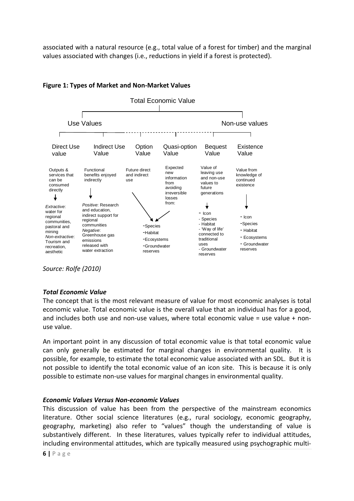associated with a natural resource (e.g., total value of a forest for timber) and the marginal values associated with changes (i.e., reductions in yield if a forest is protected).



#### **Figure 1: Types of Market and Non-Market Values**

*Source: Rolfe (2010)*

#### *Total Economic Value*

The concept that is the most relevant measure of value for most economic analyses is total economic value. Total economic value is the overall value that an individual has for a good, and includes both use and non-use values, where total economic value = use value + nonuse value.

An important point in any discussion of total economic value is that total economic value can only generally be estimated for marginal changes in environmental quality. It is possible, for example, to estimate the total economic value associated with an SDL. But it is not possible to identify the total economic value of an icon site. This is because it is only possible to estimate non-use values for marginal changes in environmental quality.

#### *Economic Values Versus Non-economic Values*

This discussion of value has been from the perspective of the mainstream economics literature. Other social science literatures (e.g., rural sociology, economic geography, geography, marketing) also refer to "values" though the understanding of value is substantively different. In these literatures, values typically refer to individual attitudes, including environmental attitudes, which are typically measured using psychographic multi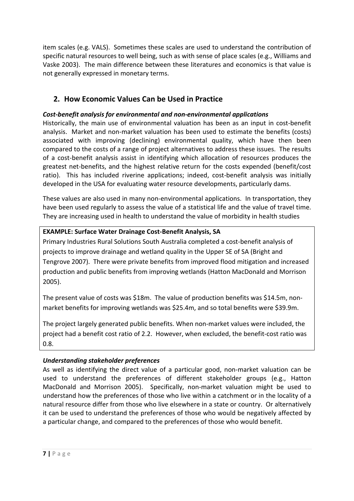item scales (e.g. VALS). Sometimes these scales are used to understand the contribution of specific natural resources to well being, such as with sense of place scales (e.g., Williams and Vaske 2003). The main difference between these literatures and economics is that value is not generally expressed in monetary terms.

## **2. How Economic Values Can be Used in Practice**

### *Cost-benefit analysis for environmental and non-environmental applications*

Historically, the main use of environmental valuation has been as an input in cost-benefit analysis. Market and non-market valuation has been used to estimate the benefits (costs) associated with improving (declining) environmental quality, which have then been compared to the costs of a range of project alternatives to address these issues. The results of a cost-benefit analysis assist in identifying which allocation of resources produces the greatest net-benefits, and the highest relative return for the costs expended (benefit/cost ratio). This has included riverine applications; indeed, cost-benefit analysis was initially developed in the USA for evaluating water resource developments, particularly dams.

These values are also used in many non-environmental applications. In transportation, they have been used regularly to assess the value of a statistical life and the value of travel time. They are increasing used in health to understand the value of morbidity in health studies

#### **EXAMPLE: Surface Water Drainage Cost-Benefit Analysis, SA**

Primary Industries Rural Solutions South Australia completed a cost-benefit analysis of projects to improve drainage and wetland quality in the Upper SE of SA (Bright and Tengrove 2007). There were private benefits from improved flood mitigation and increased production and public benefits from improving wetlands (Hatton MacDonald and Morrison 2005).

The present value of costs was \$18m. The value of production benefits was \$14.5m, nonmarket benefits for improving wetlands was \$25.4m, and so total benefits were \$39.9m.

The project largely generated public benefits. When non-market values were included, the project had a benefit cost ratio of 2.2. However, when excluded, the benefit-cost ratio was 0.8.

#### *Understanding stakeholder preferences*

As well as identifying the direct value of a particular good, non-market valuation can be used to understand the preferences of different stakeholder groups (e.g., Hatton MacDonald and Morrison 2005). Specifically, non-market valuation might be used to understand how the preferences of those who live within a catchment or in the locality of a natural resource differ from those who live elsewhere in a state or country. Or alternatively it can be used to understand the preferences of those who would be negatively affected by a particular change, and compared to the preferences of those who would benefit.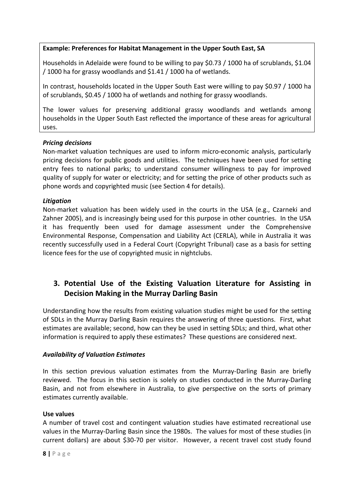#### **Example: Preferences for Habitat Management in the Upper South East, SA**

Households in Adelaide were found to be willing to pay \$0.73 / 1000 ha of scrublands, \$1.04 / 1000 ha for grassy woodlands and \$1.41 / 1000 ha of wetlands.

In contrast, households located in the Upper South East were willing to pay \$0.97 / 1000 ha of scrublands, \$0.45 / 1000 ha of wetlands and nothing for grassy woodlands.

The lower values for preserving additional grassy woodlands and wetlands among households in the Upper South East reflected the importance of these areas for agricultural uses.

#### *Pricing decisions*

Non-market valuation techniques are used to inform micro-economic analysis, particularly pricing decisions for public goods and utilities. The techniques have been used for setting entry fees to national parks; to understand consumer willingness to pay for improved quality of supply for water or electricity; and for setting the price of other products such as phone words and copyrighted music (see Section 4 for details).

#### *Litigation*

Non-market valuation has been widely used in the courts in the USA (e.g., Czarneki and Zahner 2005), and is increasingly being used for this purpose in other countries. In the USA it has frequently been used for damage assessment under the Comprehensive Environmental Response, Compensation and Liability Act (CERLA), while in Australia it was recently successfully used in a Federal Court (Copyright Tribunal) case as a basis for setting licence fees for the use of copyrighted music in nightclubs.

## **3. Potential Use of the Existing Valuation Literature for Assisting in Decision Making in the Murray Darling Basin**

Understanding how the results from existing valuation studies might be used for the setting of SDLs in the Murray Darling Basin requires the answering of three questions. First, what estimates are available; second, how can they be used in setting SDLs; and third, what other information is required to apply these estimates? These questions are considered next.

#### *Availability of Valuation Estimates*

In this section previous valuation estimates from the Murray-Darling Basin are briefly reviewed. The focus in this section is solely on studies conducted in the Murray-Darling Basin, and not from elsewhere in Australia, to give perspective on the sorts of primary estimates currently available.

#### **Use values**

A number of travel cost and contingent valuation studies have estimated recreational use values in the Murray-Darling Basin since the 1980s. The values for most of these studies (in current dollars) are about \$30-70 per visitor. However, a recent travel cost study found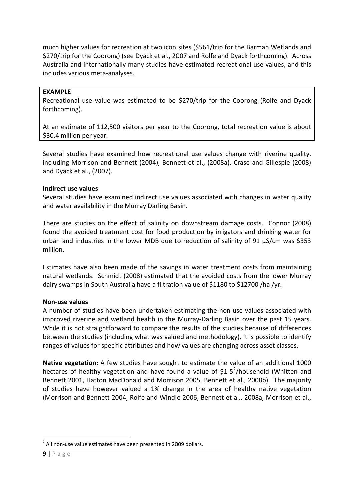much higher values for recreation at two icon sites (\$561/trip for the Barmah Wetlands and \$270/trip for the Coorong) (see Dyack et al., 2007 and Rolfe and Dyack forthcoming). Across Australia and internationally many studies have estimated recreational use values, and this includes various meta-analyses.

#### **EXAMPLE**

Recreational use value was estimated to be \$270/trip for the Coorong (Rolfe and Dyack forthcoming).

At an estimate of 112,500 visitors per year to the Coorong, total recreation value is about \$30.4 million per year.

Several studies have examined how recreational use values change with riverine quality, including Morrison and Bennett (2004), Bennett et al., (2008a), Crase and Gillespie (2008) and Dyack et al., (2007).

#### **Indirect use values**

Several studies have examined indirect use values associated with changes in water quality and water availability in the Murray Darling Basin.

There are studies on the effect of salinity on downstream damage costs. Connor (2008) found the avoided treatment cost for food production by irrigators and drinking water for urban and industries in the lower MDB due to reduction of salinity of 91 µS/cm was \$353 million.

Estimates have also been made of the savings in water treatment costs from maintaining natural wetlands. Schmidt (2008) estimated that the avoided costs from the lower Murray dairy swamps in South Australia have a filtration value of \$1180 to \$12700 /ha /yr.

#### **Non-use values**

A number of studies have been undertaken estimating the non-use values associated with improved riverine and wetland health in the Murray-Darling Basin over the past 15 years. While it is not straightforward to compare the results of the studies because of differences between the studies (including what was valued and methodology), it is possible to identify ranges of values for specific attributes and how values are changing across asset classes.

**Native vegetation:** A few studies have sought to estimate the value of an additional 1000 hectares of healthy vegetation and have found a value of \$1-5<sup>[2](#page-8-0)</sup>/household (Whitten and Bennett 2001, Hatton MacDonald and Morrison 2005, Bennett et al., 2008b). The majority of studies have however valued a 1% change in the area of healthy native vegetation (Morrison and Bennett 2004, Rolfe and Windle 2006, Bennett et al., 2008a, Morrison et al.,

<span id="page-8-0"></span> $2$  All non-use value estimates have been presented in 2009 dollars.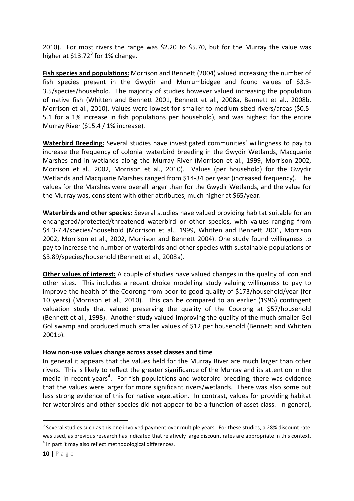2010). For most rivers the range was \$2.20 to \$5.70, but for the Murray the value was higher at  $$13.72<sup>3</sup>$  $$13.72<sup>3</sup>$  $$13.72<sup>3</sup>$  for 1% change.

**Fish species and populations:** Morrison and Bennett (2004) valued increasing the number of fish species present in the Gwydir and Murrumbidgee and found values of \$3.3- 3.5/species/household. The majority of studies however valued increasing the population of native fish (Whitten and Bennett 2001, Bennett et al., 2008a, Bennett et al., 2008b, Morrison et al., 2010). Values were lowest for smaller to medium sized rivers/areas (\$0.5- 5.1 for a 1% increase in fish populations per household), and was highest for the entire Murray River (\$15.4 / 1% increase).

**Waterbird Breeding:** Several studies have investigated communities' willingness to pay to increase the frequency of colonial waterbird breeding in the Gwydir Wetlands, Macquarie Marshes and in wetlands along the Murray River (Morrison et al., 1999, Morrison 2002, Morrison et al., 2002, Morrison et al., 2010). Values (per household) for the Gwydir Wetlands and Macquarie Marshes ranged from \$14-34 per year (increased frequency). The values for the Marshes were overall larger than for the Gwydir Wetlands, and the value for the Murray was, consistent with other attributes, much higher at \$65/year.

**Waterbirds and other species:** Several studies have valued providing habitat suitable for an endangered/protected/threatened waterbird or other species, with values ranging from \$4.3-7.4/species/household (Morrison et al., 1999, Whitten and Bennett 2001, Morrison 2002, Morrison et al., 2002, Morrison and Bennett 2004). One study found willingness to pay to increase the number of waterbirds and other species with sustainable populations of \$3.89/species/household (Bennett et al., 2008a).

**Other values of interest:** A couple of studies have valued changes in the quality of icon and other sites. This includes a recent choice modelling study valuing willingness to pay to improve the health of the Coorong from poor to good quality of \$173/household/year (for 10 years) (Morrison et al., 2010). This can be compared to an earlier (1996) contingent valuation study that valued preserving the quality of the Coorong at \$57/household (Bennett et al., 1998). Another study valued improving the quality of the much smaller Gol Gol swamp and produced much smaller values of \$12 per household (Bennett and Whitten 2001b).

#### **How non-use values change across asset classes and time**

In general it appears that the values held for the Murray River are much larger than other rivers. This is likely to reflect the greater significance of the Murray and its attention in the media in recent years<sup>[4](#page-9-1)</sup>. For fish populations and waterbird breeding, there was evidence that the values were larger for more significant rivers/wetlands. There was also some but less strong evidence of this for native vegetation. In contrast, values for providing habitat for waterbirds and other species did not appear to be a function of asset class. In general,

<span id="page-9-1"></span><span id="page-9-0"></span><sup>&</sup>lt;sup>3</sup> Several studies such as this one involved payment over multiple years. For these studies, a 28% discount rate was used, as previous research has indicated that relatively large discount rates are appropriate in this context.  $4$  In part it may also reflect methodological differences.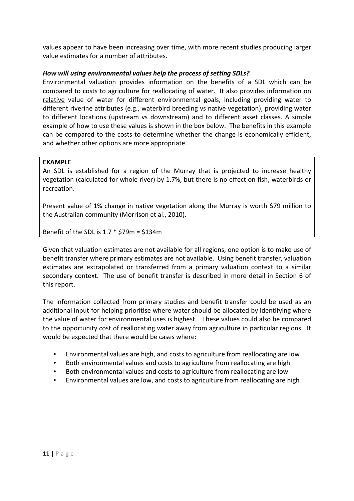values appear to have been increasing over time, with more recent studies producing larger value estimates for a number of attributes.

#### *How will using environmental values help the process of setting SDLs?*

Environmental valuation provides information on the benefits of a SDL which can be compared to costs to agriculture for reallocating of water. It also provides information on relative value of water for different environmental goals, including providing water to different riverine attributes (e.g., waterbird breeding vs native vegetation), providing water to different locations (upstream vs downstream) and to different asset classes. A simple example of how to use these values is shown in the box below. The benefits in this example can be compared to the costs to determine whether the change is economically efficient, and whether other options are more appropriate.

#### **EXAMPLE**

An SDL is established for a region of the Murray that is projected to increase healthy vegetation (calculated for whole river) by 1.7%, but there is no effect on fish, waterbirds or recreation.

Present value of 1% change in native vegetation along the Murray is worth \$79 million to the Australian community (Morrison et al., 2010).

Benefit of the SDL is  $1.7 * $79m = $134m$ 

Given that valuation estimates are not available for all regions, one option is to make use of benefit transfer where primary estimates are not available. Using benefit transfer, valuation estimates are extrapolated or transferred from a primary valuation context to a similar secondary context. The use of benefit transfer is described in more detail in Section 6 of this report.

The information collected from primary studies and benefit transfer could be used as an additional input for helping prioritise where water should be allocated by identifying where the value of water for environmental uses is highest. These values could also be compared to the opportunity cost of reallocating water away from agriculture in particular regions. It would be expected that there would be cases where:

- Environmental values are high, and costs to agriculture from reallocating are low
- Both environmental values and costs to agriculture from reallocating are high
- Both environmental values and costs to agriculture from reallocating are low
- Environmental values are low, and costs to agriculture from reallocating are high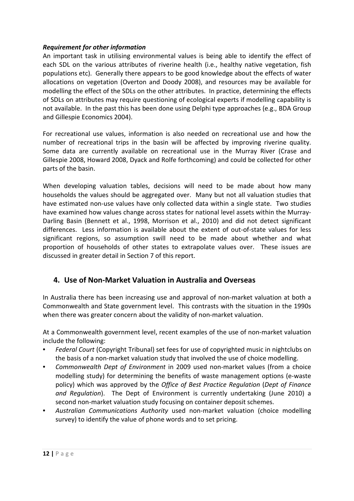#### *Requirement for other information*

An important task in utilising environmental values is being able to identify the effect of each SDL on the various attributes of riverine health (i.e., healthy native vegetation, fish populations etc). Generally there appears to be good knowledge about the effects of water allocations on vegetation (Overton and Doody 2008), and resources may be available for modelling the effect of the SDLs on the other attributes. In practice, determining the effects of SDLs on attributes may require questioning of ecological experts if modelling capability is not available. In the past this has been done using Delphi type approaches (e.g., BDA Group and Gillespie Economics 2004).

For recreational use values, information is also needed on recreational use and how the number of recreational trips in the basin will be affected by improving riverine quality. Some data are currently available on recreational use in the Murray River (Crase and Gillespie 2008, Howard 2008, Dyack and Rolfe forthcoming) and could be collected for other parts of the basin.

When developing valuation tables, decisions will need to be made about how many households the values should be aggregated over. Many but not all valuation studies that have estimated non-use values have only collected data within a single state. Two studies have examined how values change across states for national level assets within the Murray-Darling Basin (Bennett et al., 1998, Morrison et al., 2010) and did not detect significant differences. Less information is available about the extent of out-of-state values for less significant regions, so assumption swill need to be made about whether and what proportion of households of other states to extrapolate values over. These issues are discussed in greater detail in Section 7 of this report.

#### **4. Use of Non-Market Valuation in Australia and Overseas**

In Australia there has been increasing use and approval of non-market valuation at both a Commonwealth and State government level. This contrasts with the situation in the 1990s when there was greater concern about the validity of non-market valuation.

At a Commonwealth government level, recent examples of the use of non-market valuation include the following:

- *Federal Court* (Copyright Tribunal) set fees for use of copyrighted music in nightclubs on the basis of a non-market valuation study that involved the use of choice modelling.
- *Commonwealth Dept of Environment* in 2009 used non-market values (from a choice modelling study) for determining the benefits of waste management options (e-waste policy) which was approved by the *Office of Best Practice Regulation* (*Dept of Finance and Regulation*). The Dept of Environment is currently undertaking (June 2010) a second non-market valuation study focusing on container deposit schemes.
- *Australian Communications Authority* used non-market valuation (choice modelling survey) to identify the value of phone words and to set pricing.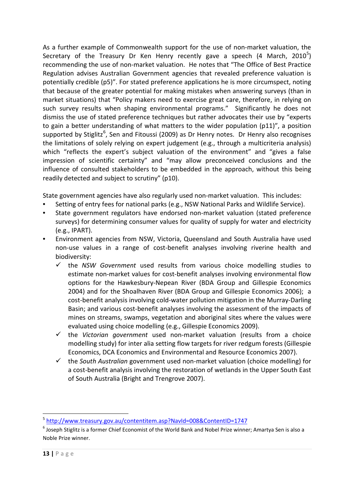As a further example of Commonwealth support for the use of non-market valuation, the Secretary of the Treasury Dr Ken Henry recently gave a speech (4 March, 2010<sup>[5](#page-12-0)</sup>) recommending the use of non-market valuation. He notes that "The Office of Best Practice Regulation advises Australian Government agencies that revealed preference valuation is potentially credible (p5)". For stated preference applications he is more circumspect, noting that because of the greater potential for making mistakes when answering surveys (than in market situations) that "Policy makers need to exercise great care, therefore, in relying on such survey results when shaping environmental programs." Significantly he does not dismiss the use of stated preference techniques but rather advocates their use by "experts to gain a better understanding of what matters to the wider population (p11)", a position supported by Stiglitz<sup>[6](#page-12-1)</sup>, Sen and Fitoussi (2009) as Dr Henry notes. Dr Henry also recognises the limitations of solely relying on expert judgement (e.g., through a multicriteria analysis) which "reflects the expert's subject valuation of the environment" and "gives a false impression of scientific certainty" and "may allow preconceived conclusions and the influence of consulted stakeholders to be embedded in the approach, without this being readily detected and subject to scrutiny" (p10).

State government agencies have also regularly used non-market valuation. This includes:

- Setting of entry fees for national parks (e.g., NSW National Parks and Wildlife Service).
- State government regulators have endorsed non-market valuation (stated preference surveys) for determining consumer values for quality of supply for water and electricity (e.g., IPART).
- Environment agencies from NSW, Victoria, Queensland and South Australia have used non-use values in a range of cost-benefit analyses involving riverine health and biodiversity:
	- $\checkmark$  the *NSW Government* used results from various choice modelling studies to estimate non-market values for cost-benefit analyses involving environmental flow options for the Hawkesbury-Nepean River (BDA Group and Gillespie Economics 2004) and for the Shoalhaven River (BDA Group and Gillespie Economics 2006); a cost-benefit analysis involving cold-water pollution mitigation in the Murray-Darling Basin; and various cost-benefit analyses involving the assessment of the impacts of mines on streams, swamps, vegetation and aboriginal sites where the values were evaluated using choice modelling (e.g., Gillespie Economics 2009).
	- $\checkmark$  the *Victorian government* used non-market valuation (results from a choice modelling study) for inter alia setting flow targets for river redgum forests (Gillespie Economics, DCA Economics and Environmental and Resource Economics 2007).
	- the *South Australian* government used non-market valuation (choice modelling) for a cost-benefit analysis involving the restoration of wetlands in the Upper South East of South Australia (Bright and Trengrove 2007).

<span id="page-12-0"></span> <sup>5</sup> <http://www.treasury.gov.au/contentitem.asp?NavId=008&ContentID=1747>

<span id="page-12-1"></span> $^6$  Joseph Stiglitz is a former Chief Economist of the World Bank and Nobel Prize winner; Amartya Sen is also a Noble Prize winner.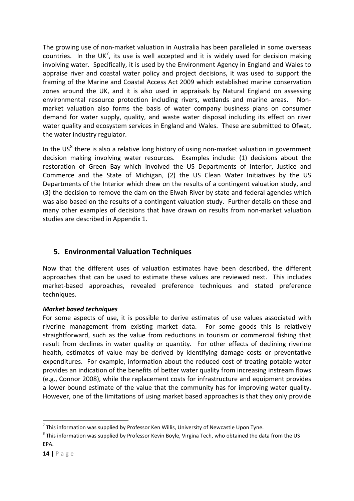The growing use of non-market valuation in Australia has been paralleled in some overseas countries. In the UK<sup>[7](#page-13-0)</sup>, its use is well accepted and it is widely used for decision making involving water. Specifically, it is used by the Environment Agency in England and Wales to appraise river and coastal water policy and project decisions, it was used to support the framing of the Marine and Coastal Access Act 2009 which established marine conservation zones around the UK, and it is also used in appraisals by Natural England on assessing environmental resource protection including rivers, wetlands and marine areas. Nonmarket valuation also forms the basis of water company business plans on consumer demand for water supply, quality, and waste water disposal including its effect on river water quality and ecosystem services in England and Wales. These are submitted to Ofwat, the water industry regulator.

In the US $<sup>8</sup>$  $<sup>8</sup>$  $<sup>8</sup>$  there is also a relative long history of using non-market valuation in government</sup> decision making involving water resources. Examples include: (1) decisions about the restoration of Green Bay which involved the US Departments of Interior, Justice and Commerce and the State of Michigan, (2) the US Clean Water Initiatives by the US Departments of the Interior which drew on the results of a contingent valuation study, and (3) the decision to remove the dam on the Elwah River by state and federal agencies which was also based on the results of a contingent valuation study. Further details on these and many other examples of decisions that have drawn on results from non-market valuation studies are described in Appendix 1.

## **5. Environmental Valuation Techniques**

Now that the different uses of valuation estimates have been described, the different approaches that can be used to estimate these values are reviewed next. This includes market-based approaches, revealed preference techniques and stated preference techniques.

#### *Market based techniques*

For some aspects of use, it is possible to derive estimates of use values associated with riverine management from existing market data. For some goods this is relatively straightforward, such as the value from reductions in tourism or commercial fishing that result from declines in water quality or quantity. For other effects of declining riverine health, estimates of value may be derived by identifying damage costs or preventative expenditures. For example, information about the reduced cost of treating potable water provides an indication of the benefits of better water quality from increasing instream flows (e.g., Connor 2008), while the replacement costs for infrastructure and equipment provides a lower bound estimate of the value that the community has for improving water quality. However, one of the limitations of using market based approaches is that they only provide

<span id="page-13-0"></span> $7$  This information was supplied by Professor Ken Willis, University of Newcastle Upon Tyne.

<span id="page-13-1"></span><sup>8</sup> This information was supplied by Professor Kevin Boyle, Virgina Tech, who obtained the data from the US EPA.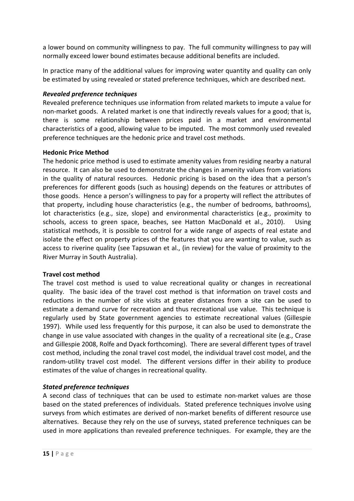a lower bound on community willingness to pay. The full community willingness to pay will normally exceed lower bound estimates because additional benefits are included.

In practice many of the additional values for improving water quantity and quality can only be estimated by using revealed or stated preference techniques, which are described next.

#### *Revealed preference techniques*

Revealed preference techniques use information from related markets to impute a value for non-market goods. A related market is one that indirectly reveals values for a good; that is, there is some relationship between prices paid in a market and environmental characteristics of a good, allowing value to be imputed. The most commonly used revealed preference techniques are the hedonic price and travel cost methods.

#### **Hedonic Price Method**

The hedonic price method is used to estimate amenity values from residing nearby a natural resource. It can also be used to demonstrate the changes in amenity values from variations in the quality of natural resources. Hedonic pricing is based on the idea that a person's preferences for different goods (such as housing) depends on the features or attributes of those goods. Hence a person's willingness to pay for a property will reflect the attributes of that property, including house characteristics (e.g., the number of bedrooms, bathrooms), lot characteristics (e.g., size, slope) and environmental characteristics (e.g., proximity to schools, access to green space, beaches, see Hatton MacDonald et al., 2010). Using statistical methods, it is possible to control for a wide range of aspects of real estate and isolate the effect on property prices of the features that you are wanting to value, such as access to riverine quality (see Tapsuwan et al., (in review) for the value of proximity to the River Murray in South Australia).

#### **Travel cost method**

The travel cost method is used to value recreational quality or changes in recreational quality. The basic idea of the travel cost method is that information on travel costs and reductions in the number of site visits at greater distances from a site can be used to estimate a demand curve for recreation and thus recreational use value. This technique is regularly used by State government agencies to estimate recreational values (Gillespie 1997). While used less frequently for this purpose, it can also be used to demonstrate the change in use value associated with changes in the quality of a recreational site (e.g., Crase and Gillespie 2008, Rolfe and Dyack forthcoming). There are several different types of travel cost method, including the zonal travel cost model, the individual travel cost model, and the random-utility travel cost model. The different versions differ in their ability to produce estimates of the value of changes in recreational quality.

#### *Stated preference techniques*

A second class of techniques that can be used to estimate non-market values are those based on the stated preferences of individuals. Stated preference techniques involve using surveys from which estimates are derived of non-market benefits of different resource use alternatives. Because they rely on the use of surveys, stated preference techniques can be used in more applications than revealed preference techniques. For example, they are the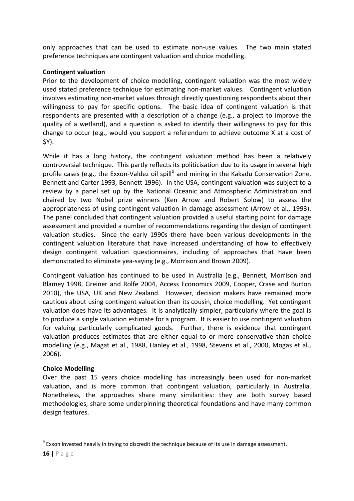only approaches that can be used to estimate non-use values. The two main stated preference techniques are contingent valuation and choice modelling.

#### **Contingent valuation**

Prior to the development of choice modelling, contingent valuation was the most widely used stated preference technique for estimating non-market values. Contingent valuation involves estimating non-market values through directly questioning respondents about their willingness to pay for specific options. The basic idea of contingent valuation is that respondents are presented with a description of a change (e.g., a project to improve the quality of a wetland), and a question is asked to identify their willingness to pay for this change to occur (e.g., would you support a referendum to achieve outcome X at a cost of \$Y).

While it has a long history, the contingent valuation method has been a relatively controversial technique. This partly reflects its politicisation due to its usage in several high profile cases (e.g., the Exxon-Valdez oil spill<sup>[9](#page-15-0)</sup> and mining in the Kakadu Conservation Zone, Bennett and Carter 1993, Bennett 1996). In the USA, contingent valuation was subject to a review by a panel set up by the National Oceanic and Atmospheric Administration and chaired by two Nobel prize winners (Ken Arrow and Robert Solow) to assess the appropriateness of using contingent valuation in damage assessment (Arrow et al., 1993). The panel concluded that contingent valuation provided a useful starting point for damage assessment and provided a number of recommendations regarding the design of contingent valuation studies. Since the early 1990s there have been various developments in the contingent valuation literature that have increased understanding of how to effectively design contingent valuation questionnaires, including of approaches that have been demonstrated to eliminate yea-saying (e.g., Morrison and Brown 2009).

Contingent valuation has continued to be used in Australia (e.g., Bennett, Morrison and Blamey 1998, Greiner and Rolfe 2004, Access Economics 2009, Cooper, Crase and Burton 2010), the USA, UK and New Zealand. However, decision makers have remained more cautious about using contingent valuation than its cousin, choice modelling. Yet contingent valuation does have its advantages. It is analytically simpler, particularly where the goal is to produce a single valuation estimate for a program. It is easier to use contingent valuation for valuing particularly complicated goods. Further, there is evidence that contingent valuation produces estimates that are either equal to or more conservative than choice modelling (e.g., Magat et al., 1988, Hanley et al., 1998, Stevens et al., 2000, Mogas et al., 2006).

#### **Choice Modelling**

Over the past 15 years choice modelling has increasingly been used for non-market valuation, and is more common that contingent valuation, particularly in Australia. Nonetheless, the approaches share many similarities: they are both survey based methodologies, share some underpinning theoretical foundations and have many common design features.

<span id="page-15-0"></span> $9$  Exxon invested heavily in trying to discredit the technique because of its use in damage assessment.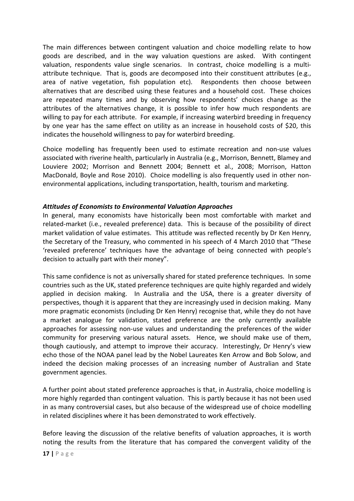The main differences between contingent valuation and choice modelling relate to how goods are described, and in the way valuation questions are asked. With contingent valuation, respondents value single scenarios. In contrast, choice modelling is a multiattribute technique. That is, goods are decomposed into their constituent attributes (e.g., area of native vegetation, fish population etc). Respondents then choose between alternatives that are described using these features and a household cost. These choices are repeated many times and by observing how respondents' choices change as the attributes of the alternatives change, it is possible to infer how much respondents are willing to pay for each attribute. For example, if increasing waterbird breeding in frequency by one year has the same effect on utility as an increase in household costs of \$20, this indicates the household willingness to pay for waterbird breeding.

Choice modelling has frequently been used to estimate recreation and non-use values associated with riverine health, particularly in Australia (e.g., Morrison, Bennett, Blamey and Louviere 2002; Morrison and Bennett 2004; Bennett et al., 2008; Morrison, Hatton MacDonald, Boyle and Rose 2010). Choice modelling is also frequently used in other nonenvironmental applications, including transportation, health, tourism and marketing.

#### *Attitudes of Economists to Environmental Valuation Approaches*

In general, many economists have historically been most comfortable with market and related-market (i.e., revealed preference) data. This is because of the possibility of direct market validation of value estimates. This attitude was reflected recently by Dr Ken Henry, the Secretary of the Treasury, who commented in his speech of 4 March 2010 that "These 'revealed preference' techniques have the advantage of being connected with people's decision to actually part with their money".

This same confidence is not as universally shared for stated preference techniques. In some countries such as the UK, stated preference techniques are quite highly regarded and widely applied in decision making. In Australia and the USA, there is a greater diversity of perspectives, though it is apparent that they are increasingly used in decision making. Many more pragmatic economists (including Dr Ken Henry) recognise that, while they do not have a market analogue for validation, stated preference are the only currently available approaches for assessing non-use values and understanding the preferences of the wider community for preserving various natural assets. Hence, we should make use of them, though cautiously, and attempt to improve their accuracy. Interestingly, Dr Henry's view echo those of the NOAA panel lead by the Nobel Laureates Ken Arrow and Bob Solow, and indeed the decision making processes of an increasing number of Australian and State government agencies.

A further point about stated preference approaches is that, in Australia, choice modelling is more highly regarded than contingent valuation. This is partly because it has not been used in as many controversial cases, but also because of the widespread use of choice modelling in related disciplines where it has been demonstrated to work effectively.

Before leaving the discussion of the relative benefits of valuation approaches, it is worth noting the results from the literature that has compared the convergent validity of the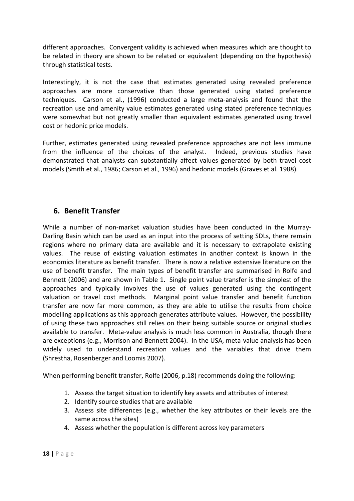different approaches. Convergent validity is achieved when measures which are thought to be related in theory are shown to be related or equivalent (depending on the hypothesis) through statistical tests.

Interestingly, it is not the case that estimates generated using revealed preference approaches are more conservative than those generated using stated preference techniques. Carson et al., (1996) conducted a large meta-analysis and found that the recreation use and amenity value estimates generated using stated preference techniques were somewhat but not greatly smaller than equivalent estimates generated using travel cost or hedonic price models.

Further, estimates generated using revealed preference approaches are not less immune from the influence of the choices of the analyst. Indeed, previous studies have demonstrated that analysts can substantially affect values generated by both travel cost models (Smith et al., 1986; Carson et al., 1996) and hedonic models (Graves et al. 1988).

## **6. Benefit Transfer**

While a number of non-market valuation studies have been conducted in the Murray-Darling Basin which can be used as an input into the process of setting SDLs, there remain regions where no primary data are available and it is necessary to extrapolate existing values. The reuse of existing valuation estimates in another context is known in the economics literature as benefit transfer. There is now a relative extensive literature on the use of benefit transfer. The main types of benefit transfer are summarised in Rolfe and Bennett (2006) and are shown in Table 1. Single point value transfer is the simplest of the approaches and typically involves the use of values generated using the contingent valuation or travel cost methods. Marginal point value transfer and benefit function transfer are now far more common, as they are able to utilise the results from choice modelling applications as this approach generates attribute values. However, the possibility of using these two approaches still relies on their being suitable source or original studies available to transfer. Meta-value analysis is much less common in Australia, though there are exceptions (e.g., Morrison and Bennett 2004). In the USA, meta-value analysis has been widely used to understand recreation values and the variables that drive them (Shrestha, Rosenberger and Loomis 2007).

When performing benefit transfer, Rolfe (2006, p.18) recommends doing the following:

- 1. Assess the target situation to identify key assets and attributes of interest
- 2. Identify source studies that are available
- 3. Assess site differences (e.g., whether the key attributes or their levels are the same across the sites)
- 4. Assess whether the population is different across key parameters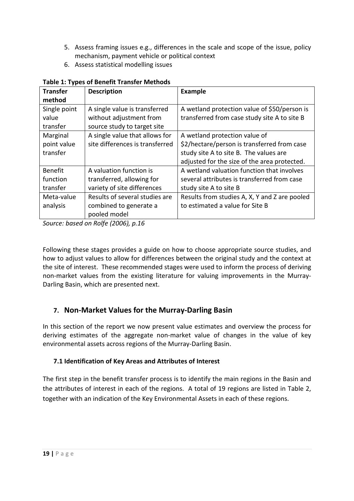- 5. Assess framing issues e.g., differences in the scale and scope of the issue, policy mechanism, payment vehicle or political context
- 6. Assess statistical modelling issues

| <b>Transfer</b> | <b>Description</b>              | <b>Example</b>                                |
|-----------------|---------------------------------|-----------------------------------------------|
| method          |                                 |                                               |
| Single point    | A single value is transferred   | A wetland protection value of \$50/person is  |
| value           | without adjustment from         | transferred from case study site A to site B  |
| transfer        | source study to target site     |                                               |
| Marginal        | A single value that allows for  | A wetland protection value of                 |
| point value     | site differences is transferred | \$2/hectare/person is transferred from case   |
| transfer        |                                 | study site A to site B. The values are        |
|                 |                                 | adjusted for the size of the area protected.  |
| <b>Benefit</b>  | A valuation function is         | A wetland valuation function that involves    |
| function        | transferred, allowing for       | several attributes is transferred from case   |
| transfer        | variety of site differences     | study site A to site B                        |
| Meta-value      | Results of several studies are  | Results from studies A, X, Y and Z are pooled |
| analysis        | combined to generate a          | to estimated a value for Site B               |
|                 | pooled model                    |                                               |

#### **Table 1: Types of Benefit Transfer Methods**

*Source: based on Rolfe (2006), p.16*

Following these stages provides a guide on how to choose appropriate source studies, and how to adjust values to allow for differences between the original study and the context at the site of interest. These recommended stages were used to inform the process of deriving non-market values from the existing literature for valuing improvements in the Murray-Darling Basin, which are presented next.

## **7. Non-Market Values for the Murray-Darling Basin**

In this section of the report we now present value estimates and overview the process for deriving estimates of the aggregate non-market value of changes in the value of key environmental assets across regions of the Murray-Darling Basin.

#### **7.1 Identification of Key Areas and Attributes of Interest**

The first step in the benefit transfer process is to identify the main regions in the Basin and the attributes of interest in each of the regions. A total of 19 regions are listed in Table 2, together with an indication of the Key Environmental Assets in each of these regions.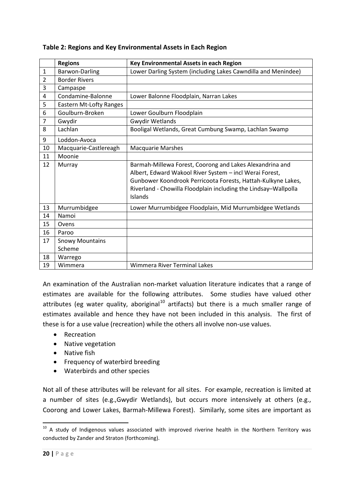|                | <b>Regions</b>                 | Key Environmental Assets in each Region                                                                                                                                                                                                                           |
|----------------|--------------------------------|-------------------------------------------------------------------------------------------------------------------------------------------------------------------------------------------------------------------------------------------------------------------|
| $\mathbf{1}$   | Barwon-Darling                 | Lower Darling System (including Lakes Cawndilla and Menindee)                                                                                                                                                                                                     |
| $\overline{2}$ | <b>Border Rivers</b>           |                                                                                                                                                                                                                                                                   |
| 3              | Campaspe                       |                                                                                                                                                                                                                                                                   |
| 4              | Condamine-Balonne              | Lower Balonne Floodplain, Narran Lakes                                                                                                                                                                                                                            |
| 5              | <b>Eastern Mt-Lofty Ranges</b> |                                                                                                                                                                                                                                                                   |
| 6              | Goulburn-Broken                | Lower Goulburn Floodplain                                                                                                                                                                                                                                         |
| $\overline{7}$ | Gwydir                         | <b>Gwydir Wetlands</b>                                                                                                                                                                                                                                            |
| 8              | Lachlan                        | Booligal Wetlands, Great Cumbung Swamp, Lachlan Swamp                                                                                                                                                                                                             |
| 9              | Loddon-Avoca                   |                                                                                                                                                                                                                                                                   |
| 10             | Macquarie-Castlereagh          | <b>Macquarie Marshes</b>                                                                                                                                                                                                                                          |
| 11             | Moonie                         |                                                                                                                                                                                                                                                                   |
| 12             | Murray                         | Barmah-Millewa Forest, Coorong and Lakes Alexandrina and<br>Albert, Edward Wakool River System - incl Werai Forest,<br>Gunbower Koondrook Perricoota Forests, Hattah-Kulkyne Lakes,<br>Riverland - Chowilla Floodplain including the Lindsay-Wallpolla<br>Islands |
| 13             | Murrumbidgee                   | Lower Murrumbidgee Floodplain, Mid Murrumbidgee Wetlands                                                                                                                                                                                                          |
| 14             | Namoi                          |                                                                                                                                                                                                                                                                   |
| 15             | Ovens                          |                                                                                                                                                                                                                                                                   |
| 16             | Paroo                          |                                                                                                                                                                                                                                                                   |
| 17             | <b>Snowy Mountains</b>         |                                                                                                                                                                                                                                                                   |
|                | Scheme                         |                                                                                                                                                                                                                                                                   |
| 18             | Warrego                        |                                                                                                                                                                                                                                                                   |
| 19             | Wimmera                        | <b>Wimmera River Terminal Lakes</b>                                                                                                                                                                                                                               |

#### **Table 2: Regions and Key Environmental Assets in Each Region**

An examination of the Australian non-market valuation literature indicates that a range of estimates are available for the following attributes. Some studies have valued other attributes (eg water quality, aboriginal<sup>[10](#page-19-0)</sup> artifacts) but there is a much smaller range of estimates available and hence they have not been included in this analysis. The first of these is for a use value (recreation) while the others all involve non-use values.

- Recreation
- Native vegetation
- Native fish
- Frequency of waterbird breeding
- Waterbirds and other species

Not all of these attributes will be relevant for all sites. For example, recreation is limited at a number of sites (e.g.,Gwydir Wetlands), but occurs more intensively at others (e.g., Coorong and Lower Lakes, Barmah-Millewa Forest). Similarly, some sites are important as

<span id="page-19-0"></span> $10$  A study of Indigenous values associated with improved riverine health in the Northern Territory was conducted by Zander and Straton (forthcoming).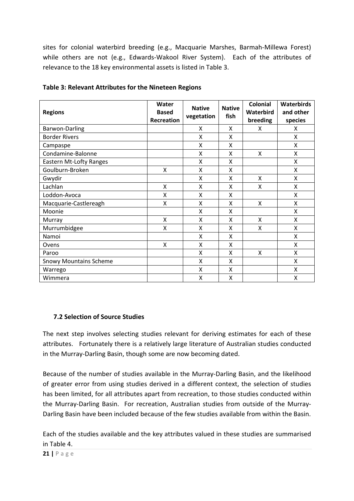sites for colonial waterbird breeding (e.g., Macquarie Marshes, Barmah-Millewa Forest) while others are not (e.g., Edwards-Wakool River System). Each of the attributes of relevance to the 18 key environmental assets is listed in Table 3.

| <b>Regions</b>                 | Water<br><b>Based</b><br>Recreation | <b>Native</b><br>vegetation | <b>Native</b><br>fish | <b>Colonial</b><br>Waterbird<br>breeding | <b>Waterbirds</b><br>and other<br>species |
|--------------------------------|-------------------------------------|-----------------------------|-----------------------|------------------------------------------|-------------------------------------------|
| <b>Barwon-Darling</b>          |                                     | X                           | Χ                     | x                                        | Χ                                         |
| <b>Border Rivers</b>           |                                     | Χ                           | Χ                     |                                          | X                                         |
| Campaspe                       |                                     | X                           | Χ                     |                                          | X                                         |
| Condamine-Balonne              |                                     | X                           | X                     | X                                        | X                                         |
| <b>Eastern Mt-Lofty Ranges</b> |                                     | X                           | X                     |                                          | X                                         |
| Goulburn-Broken                | X                                   | X                           | Χ                     |                                          | X                                         |
| Gwydir                         |                                     | X                           | X                     | Χ                                        | X                                         |
| Lachlan                        | X                                   | X                           | Χ                     | X                                        | X                                         |
| Loddon-Avoca                   | X                                   | X                           | Χ                     |                                          | X                                         |
| Macquarie-Castlereagh          | X                                   | X                           | X                     | X                                        | X                                         |
| Moonie                         |                                     | X                           | Χ                     |                                          | Χ                                         |
| Murray                         | X                                   | X                           | Χ                     | X                                        | X                                         |
| Murrumbidgee                   | X                                   | X                           | Χ                     | Χ                                        | X                                         |
| Namoi                          |                                     | X                           | X                     |                                          | X                                         |
| Ovens                          | X                                   | X                           | X                     |                                          | X                                         |
| Paroo                          |                                     | X                           | Χ                     | X                                        | X                                         |
| <b>Snowy Mountains Scheme</b>  |                                     | X                           | Χ                     |                                          | X                                         |
| Warrego                        |                                     | X                           | Χ                     |                                          | X                                         |
| Wimmera                        |                                     | X                           | x                     |                                          | X                                         |

|  | Table 3: Relevant Attributes for the Nineteen Regions |  |  |
|--|-------------------------------------------------------|--|--|
|  |                                                       |  |  |

#### **7.2 Selection of Source Studies**

The next step involves selecting studies relevant for deriving estimates for each of these attributes. Fortunately there is a relatively large literature of Australian studies conducted in the Murray-Darling Basin, though some are now becoming dated.

Because of the number of studies available in the Murray-Darling Basin, and the likelihood of greater error from using studies derived in a different context, the selection of studies has been limited, for all attributes apart from recreation, to those studies conducted within the Murray-Darling Basin. For recreation, Australian studies from outside of the Murray-Darling Basin have been included because of the few studies available from within the Basin.

Each of the studies available and the key attributes valued in these studies are summarised in Table 4.

**21 |** Page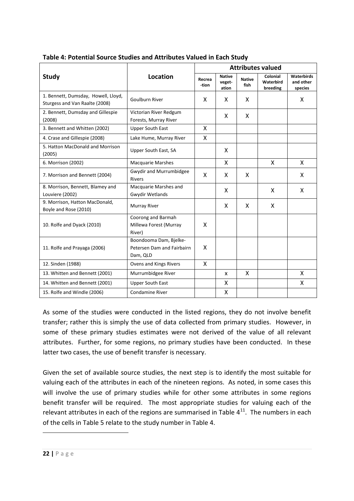|                                                                       |                                                                  | <b>Attributes valued</b> |                                  |                       |                                   |                                    |  |  |
|-----------------------------------------------------------------------|------------------------------------------------------------------|--------------------------|----------------------------------|-----------------------|-----------------------------------|------------------------------------|--|--|
| <b>Study</b>                                                          | <b>Location</b>                                                  | Recrea<br>-tion          | <b>Native</b><br>veget-<br>ation | <b>Native</b><br>fish | Colonial<br>Waterbird<br>breeding | Waterbirds<br>and other<br>species |  |  |
| 1. Bennett, Dumsday, Howell, Lloyd,<br>Sturgess and Van Raalte (2008) | Goulburn River                                                   | X                        | X                                | X                     |                                   | X                                  |  |  |
| 2. Bennett, Dumsday and Gillespie<br>(2008)                           | Victorian River Redgum<br>Forests, Murray River                  |                          | X                                | X                     |                                   |                                    |  |  |
| 3. Bennett and Whitten (2002)                                         | <b>Upper South East</b>                                          | X                        |                                  |                       |                                   |                                    |  |  |
| 4. Crase and Gillespie (2008)                                         | Lake Hume, Murray River                                          | X                        |                                  |                       |                                   |                                    |  |  |
| 5. Hatton MacDonald and Morrison<br>(2005)                            | Upper South East, SA                                             |                          | X                                |                       |                                   |                                    |  |  |
| 6. Morrison (2002)                                                    | <b>Macquarie Marshes</b>                                         |                          | X                                |                       | X                                 | X                                  |  |  |
| 7. Morrison and Bennett (2004)                                        | Gwydir and Murrumbidgee<br><b>Rivers</b>                         | X                        | X                                | X                     |                                   | X                                  |  |  |
| 8. Morrison, Bennett, Blamey and<br>Louviere (2002)                   | Macquarie Marshes and<br><b>Gwydir Wetlands</b>                  |                          | X                                |                       | X                                 | X                                  |  |  |
| 9. Morrison, Hatton MacDonald,<br>Boyle and Rose (2010)               | Murray River                                                     |                          | X                                | X                     | X                                 |                                    |  |  |
| 10. Rolfe and Dyack (2010)                                            | Coorong and Barmah<br>Millewa Forest (Murray<br>River)           | X                        |                                  |                       |                                   |                                    |  |  |
| 11. Rolfe and Prayaga (2006)                                          | Boondooma Dam, Bielke-<br>Petersen Dam and Fairbairn<br>Dam, QLD | X                        |                                  |                       |                                   |                                    |  |  |
| 12. Sinden (1988)                                                     | Ovens and Kings Rivers                                           | X                        |                                  |                       |                                   |                                    |  |  |
| 13. Whitten and Bennett (2001)                                        | Murrumbidgee River                                               |                          | X                                | X                     |                                   | X                                  |  |  |
| 14. Whitten and Bennett (2001)                                        | <b>Upper South East</b>                                          |                          | X                                |                       |                                   | X                                  |  |  |
| 15. Rolfe and Windle (2006)                                           | <b>Condamine River</b>                                           |                          | $\mathsf{x}$                     |                       |                                   |                                    |  |  |

**Table 4: Potential Source Studies and Attributes Valued in Each Study**

As some of the studies were conducted in the listed regions, they do not involve benefit transfer; rather this is simply the use of data collected from primary studies. However, in some of these primary studies estimates were not derived of the value of all relevant attributes. Further, for some regions, no primary studies have been conducted. In these latter two cases, the use of benefit transfer is necessary.

Given the set of available source studies, the next step is to identify the most suitable for valuing each of the attributes in each of the nineteen regions. As noted, in some cases this will involve the use of primary studies while for other some attributes in some regions benefit transfer will be required. The most appropriate studies for valuing each of the relevant attributes in each of the regions are summarised in Table  $4^{11}$  $4^{11}$  $4^{11}$ . The numbers in each of the cells in Table 5 relate to the study number in Table 4.

<span id="page-21-0"></span><u>.</u>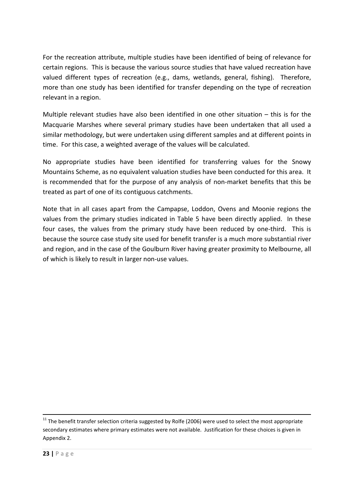For the recreation attribute, multiple studies have been identified of being of relevance for certain regions. This is because the various source studies that have valued recreation have valued different types of recreation (e.g., dams, wetlands, general, fishing). Therefore, more than one study has been identified for transfer depending on the type of recreation relevant in a region.

Multiple relevant studies have also been identified in one other situation – this is for the Macquarie Marshes where several primary studies have been undertaken that all used a similar methodology, but were undertaken using different samples and at different points in time. For this case, a weighted average of the values will be calculated.

No appropriate studies have been identified for transferring values for the Snowy Mountains Scheme, as no equivalent valuation studies have been conducted for this area. It is recommended that for the purpose of any analysis of non-market benefits that this be treated as part of one of its contiguous catchments.

Note that in all cases apart from the Campapse, Loddon, Ovens and Moonie regions the values from the primary studies indicated in Table 5 have been directly applied. In these four cases, the values from the primary study have been reduced by one-third. This is because the source case study site used for benefit transfer is a much more substantial river and region, and in the case of the Goulburn River having greater proximity to Melbourne, all of which is likely to result in larger non-use values.

 $11$  The benefit transfer selection criteria suggested by Rolfe (2006) were used to select the most appropriate secondary estimates where primary estimates were not available. Justification for these choices is given in Appendix 2.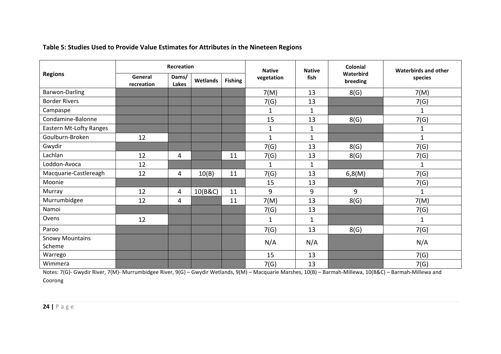| Table 5: Studies Used to Provide Value Estimates for Attributes in the Nineteen Regions |
|-----------------------------------------------------------------------------------------|
|-----------------------------------------------------------------------------------------|

|                                  | Recreation            |                |          |                              | <b>Native</b> | <b>Native</b> | Colonial              | <b>Waterbirds and other</b> |
|----------------------------------|-----------------------|----------------|----------|------------------------------|---------------|---------------|-----------------------|-----------------------------|
| <b>Regions</b>                   | General<br>recreation | Dams/<br>Lakes | Wetlands | vegetation<br><b>Fishing</b> |               | fish          | Waterbird<br>breeding | species                     |
| <b>Barwon-Darling</b>            |                       |                |          |                              | 7(M)          | 13            | 8(G)                  | 7(M)                        |
| <b>Border Rivers</b>             |                       |                |          |                              | 7(G)          | 13            |                       | 7(G)                        |
| Campaspe                         |                       |                |          |                              | $\mathbf{1}$  | $\mathbf{1}$  |                       | 1                           |
| Condamine-Balonne                |                       |                |          |                              | 15            | 13            | 8(G)                  | 7(G)                        |
| <b>Eastern Mt-Lofty Ranges</b>   |                       |                |          |                              | $\mathbf{1}$  | $\mathbf{1}$  |                       | $\mathbf{1}$                |
| Goulburn-Broken                  | 12                    |                |          |                              | $\mathbf{1}$  | $\mathbf{1}$  |                       | $\mathbf{1}$                |
| Gwydir                           |                       |                |          |                              | 7(G)          | 13            | 8(G)                  | 7(G)                        |
| Lachlan                          | 12                    | 4              |          | 11                           | 7(G)          | 13            | 8(G)                  | 7(G)                        |
| Loddon-Avoca                     | 12                    |                |          |                              | $\mathbf{1}$  | $\mathbf{1}$  |                       | 1                           |
| Macquarie-Castlereagh            | 12                    | 4              | 10(B)    | 11                           | 7(G)          | 13            | 6,8(M)                | 7(G)                        |
| Moonie                           |                       |                |          |                              | 15            | 13            |                       | 7(G)                        |
| Murray                           | 12                    | 4              | 10(B&C)  | 11                           | 9             | 9             | 9                     | 1                           |
| Murrumbidgee                     | 12                    | 4              |          | 11                           | 7(M)          | 13            | 8(G)                  | 7(M)                        |
| Namoi                            |                       |                |          |                              | 7(G)          | 13            |                       | 7(G)                        |
| Ovens                            | 12                    |                |          |                              | $\mathbf{1}$  | $\mathbf{1}$  |                       | $\mathbf{1}$                |
| Paroo                            |                       |                |          |                              | 7(G)          | 13            | 8(G)                  | 7(G)                        |
| <b>Snowy Mountains</b><br>Scheme |                       |                |          |                              | N/A           | N/A           |                       | N/A                         |
| Warrego                          |                       |                |          |                              | 15            | 13            |                       | 7(G)                        |
| Wimmera                          |                       |                |          |                              | 7(G)          | 13            |                       | 7(G)                        |

Notes: 7(G)- Gwydir River, 7(M)- Murrumbidgee River, 9(G) – Gwydir Wetlands, 9(M) – Macquarie Marshes, 10(B) – Barmah-Millewa, 10(B&C) – Barmah-Millewa and Coorong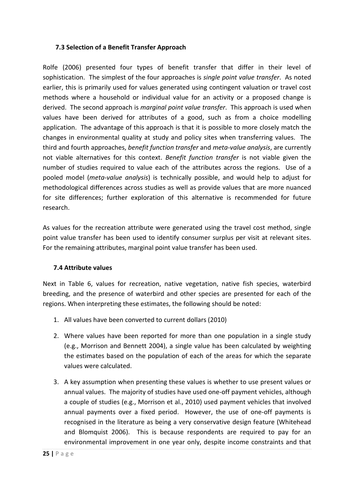#### **7.3 Selection of a Benefit Transfer Approach**

Rolfe (2006) presented four types of benefit transfer that differ in their level of sophistication. The simplest of the four approaches is *single point value transfer*. As noted earlier, this is primarily used for values generated using contingent valuation or travel cost methods where a household or individual value for an activity or a proposed change is derived. The second approach is *marginal point value transfer*. This approach is used when values have been derived for attributes of a good, such as from a choice modelling application. The advantage of this approach is that it is possible to more closely match the changes in environmental quality at study and policy sites when transferring values. The third and fourth approaches, *benefit function transfer* and *meta-value analysis*, are currently not viable alternatives for this context. *Benefit function transfer* is not viable given the number of studies required to value each of the attributes across the regions. Use of a pooled model (*meta-value analysis*) is technically possible, and would help to adjust for methodological differences across studies as well as provide values that are more nuanced for site differences; further exploration of this alternative is recommended for future research.

As values for the recreation attribute were generated using the travel cost method, single point value transfer has been used to identify consumer surplus per visit at relevant sites. For the remaining attributes, marginal point value transfer has been used.

#### **7.4 Attribute values**

Next in Table 6, values for recreation, native vegetation, native fish species, waterbird breeding, and the presence of waterbird and other species are presented for each of the regions. When interpreting these estimates, the following should be noted:

- 1. All values have been converted to current dollars (2010)
- 2. Where values have been reported for more than one population in a single study (e.g., Morrison and Bennett 2004), a single value has been calculated by weighting the estimates based on the population of each of the areas for which the separate values were calculated.
- 3. A key assumption when presenting these values is whether to use present values or annual values. The majority of studies have used one-off payment vehicles, although a couple of studies (e.g., Morrison et al., 2010) used payment vehicles that involved annual payments over a fixed period. However, the use of one-off payments is recognised in the literature as being a very conservative design feature (Whitehead and Blomquist 2006). This is because respondents are required to pay for an environmental improvement in one year only, despite income constraints and that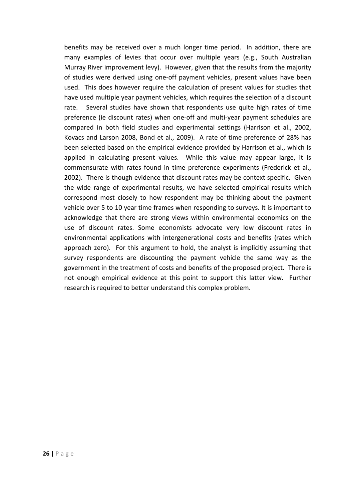benefits may be received over a much longer time period. In addition, there are many examples of levies that occur over multiple years (e.g., South Australian Murray River improvement levy). However, given that the results from the majority of studies were derived using one-off payment vehicles, present values have been used. This does however require the calculation of present values for studies that have used multiple year payment vehicles, which requires the selection of a discount rate. Several studies have shown that respondents use quite high rates of time preference (ie discount rates) when one-off and multi-year payment schedules are compared in both field studies and experimental settings (Harrison et al., 2002, Kovacs and Larson 2008, Bond et al., 2009). A rate of time preference of 28% has been selected based on the empirical evidence provided by Harrison et al., which is applied in calculating present values. While this value may appear large, it is commensurate with rates found in time preference experiments (Frederick et al., 2002). There is though evidence that discount rates may be context specific. Given the wide range of experimental results, we have selected empirical results which correspond most closely to how respondent may be thinking about the payment vehicle over 5 to 10 year time frames when responding to surveys. It is important to acknowledge that there are strong views within environmental economics on the use of discount rates. Some economists advocate very low discount rates in environmental applications with intergenerational costs and benefits (rates which approach zero). For this argument to hold, the analyst is implicitly assuming that survey respondents are discounting the payment vehicle the same way as the government in the treatment of costs and benefits of the proposed project. There is not enough empirical evidence at this point to support this latter view. Further research is required to better understand this complex problem.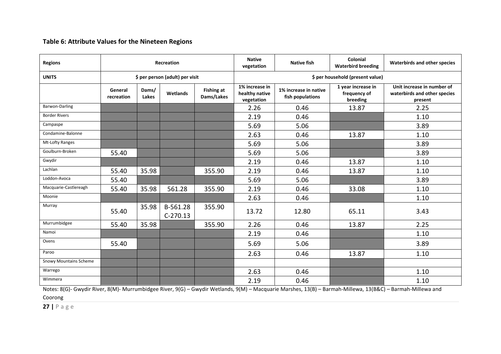#### **Table 6: Attribute Values for the Nineteen Regions**

| <b>Regions</b>                | <b>Recreation</b>     |                |                                 |                                 | <b>Native</b><br>vegetation                    | <b>Native fish</b>                        | Colonial<br><b>Waterbird breeding</b>          | Waterbirds and other species                                          |
|-------------------------------|-----------------------|----------------|---------------------------------|---------------------------------|------------------------------------------------|-------------------------------------------|------------------------------------------------|-----------------------------------------------------------------------|
| <b>UNITS</b>                  |                       |                | \$ per person (adult) per visit |                                 |                                                |                                           | \$ per household (present value)               |                                                                       |
|                               | General<br>recreation | Dams/<br>Lakes | Wetlands                        | <b>Fishing at</b><br>Dams/Lakes | 1% increase in<br>healthy native<br>vegetation | 1% increase in native<br>fish populations | 1 year increase in<br>frequency of<br>breeding | Unit increase in number of<br>waterbirds and other species<br>present |
| Barwon-Darling                |                       |                |                                 |                                 | 2.26                                           | 0.46                                      | 13.87                                          | 2.25                                                                  |
| <b>Border Rivers</b>          |                       |                |                                 |                                 | 2.19                                           | 0.46                                      |                                                | 1.10                                                                  |
| Campaspe                      |                       |                |                                 |                                 | 5.69                                           | 5.06                                      |                                                | 3.89                                                                  |
| Condamine-Balonne             |                       |                |                                 |                                 | 2.63                                           | 0.46                                      | 13.87                                          | 1.10                                                                  |
| Mt-Lofty Ranges               |                       |                |                                 |                                 | 5.69                                           | 5.06                                      |                                                | 3.89                                                                  |
| Goulburn-Broken               | 55.40                 |                |                                 |                                 | 5.69                                           | 5.06                                      |                                                | 3.89                                                                  |
| Gwydir                        |                       |                |                                 |                                 | 2.19                                           | 0.46                                      | 13.87                                          | 1.10                                                                  |
| Lachlan                       | 55.40                 | 35.98          |                                 | 355.90                          | 2.19                                           | 0.46                                      | 13.87                                          | 1.10                                                                  |
| Loddon-Avoca                  | 55.40                 |                |                                 |                                 | 5.69                                           | 5.06                                      |                                                | 3.89                                                                  |
| Macquarie-Castlereagh         | 55.40                 | 35.98          | 561.28                          | 355.90                          | 2.19                                           | 0.46                                      | 33.08                                          | 1.10                                                                  |
| Moonie                        |                       |                |                                 |                                 | 2.63                                           | 0.46                                      |                                                | 1.10                                                                  |
| Murray                        | 55.40                 | 35.98          | B-561.28<br>$C-270.13$          | 355.90                          | 13.72                                          | 12.80                                     | 65.11                                          | 3.43                                                                  |
| Murrumbidgee                  | 55.40                 | 35.98          |                                 | 355.90                          | 2.26                                           | 0.46                                      | 13.87                                          | 2.25                                                                  |
| Namoi                         |                       |                |                                 |                                 | 2.19                                           | 0.46                                      |                                                | 1.10                                                                  |
| Ovens                         | 55.40                 |                |                                 |                                 | 5.69                                           | 5.06                                      |                                                | 3.89                                                                  |
| Paroo                         |                       |                |                                 |                                 | 2.63                                           | 0.46                                      | 13.87                                          | 1.10                                                                  |
| <b>Snowy Mountains Scheme</b> |                       |                |                                 |                                 |                                                |                                           |                                                |                                                                       |
| Warrego                       |                       |                |                                 |                                 | 2.63                                           | 0.46                                      |                                                | 1.10                                                                  |
| Wimmera                       |                       |                |                                 |                                 | 2.19                                           | 0.46                                      |                                                | 1.10                                                                  |

Notes: 8(G)- Gwydir River, 8(M)- Murrumbidgee River, 9(G) – Gwydir Wetlands, 9(M) – Macquarie Marshes, 13(B) – Barmah-Millewa, 13(B&C) – Barmah-Millewa and Coorong

**27 |** Page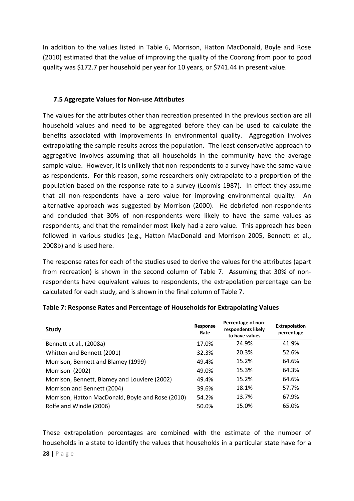In addition to the values listed in Table 6, Morrison, Hatton MacDonald, Boyle and Rose (2010) estimated that the value of improving the quality of the Coorong from poor to good quality was \$172.7 per household per year for 10 years, or \$741.44 in present value.

#### **7.5 Aggregate Values for Non-use Attributes**

The values for the attributes other than recreation presented in the previous section are all household values and need to be aggregated before they can be used to calculate the benefits associated with improvements in environmental quality. Aggregation involves extrapolating the sample results across the population. The least conservative approach to aggregative involves assuming that all households in the community have the average sample value. However, it is unlikely that non-respondents to a survey have the same value as respondents. For this reason, some researchers only extrapolate to a proportion of the population based on the response rate to a survey (Loomis 1987). In effect they assume that all non-respondents have a zero value for improving environmental quality. An alternative approach was suggested by Morrison (2000). He debriefed non-respondents and concluded that 30% of non-respondents were likely to have the same values as respondents, and that the remainder most likely had a zero value. This approach has been followed in various studies (e.g., Hatton MacDonald and Morrison 2005, Bennett et al., 2008b) and is used here.

The response rates for each of the studies used to derive the values for the attributes (apart from recreation) is shown in the second column of Table 7. Assuming that 30% of nonrespondents have equivalent values to respondents, the extrapolation percentage can be calculated for each study, and is shown in the final column of Table 7.

| <b>Study</b>                                      | Response<br>Rate | Percentage of non-<br>respondents likely<br>to have values | Extrapolation<br>percentage |
|---------------------------------------------------|------------------|------------------------------------------------------------|-----------------------------|
| Bennett et al., (2008a)                           | 17.0%            | 24.9%                                                      | 41.9%                       |
| Whitten and Bennett (2001)                        | 32.3%            | 20.3%                                                      | 52.6%                       |
| Morrison, Bennett and Blamey (1999)               | 49.4%            | 15.2%                                                      | 64.6%                       |
| Morrison (2002)                                   | 49.0%            | 15.3%                                                      | 64.3%                       |
| Morrison, Bennett, Blamey and Louviere (2002)     | 49.4%            | 15.2%                                                      | 64.6%                       |
| Morrison and Bennett (2004)                       | 39.6%            | 18.1%                                                      | 57.7%                       |
| Morrison, Hatton MacDonald, Boyle and Rose (2010) | 54.2%            | 13.7%                                                      | 67.9%                       |
| Rolfe and Windle (2006)                           | 50.0%            | 15.0%                                                      | 65.0%                       |

#### **Table 7: Response Rates and Percentage of Households for Extrapolating Values**

These extrapolation percentages are combined with the estimate of the number of households in a state to identify the values that households in a particular state have for a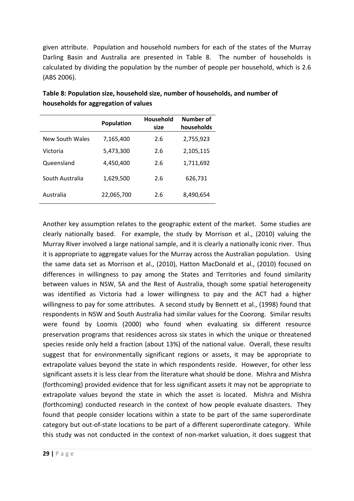given attribute. Population and household numbers for each of the states of the Murray Darling Basin and Australia are presented in Table 8. The number of households is calculated by dividing the population by the number of people per household, which is 2.6 (ABS 2006).

|                 | <b>Population</b> | <b>Household</b><br>size | Number of<br>households |
|-----------------|-------------------|--------------------------|-------------------------|
| New South Wales | 7,165,400         | 2.6                      | 2,755,923               |
| Victoria        | 5,473,300         | 2.6                      | 2,105,115               |
| Queensland      | 4,450,400         | 2.6                      | 1,711,692               |
| South Australia | 1,629,500         | 2.6                      | 626,731                 |
| Australia       | 22,065,700        | 2.6                      | 8,490,654               |

**Table 8: Population size, household size, number of households, and number of households for aggregation of values**

Another key assumption relates to the geographic extent of the market. Some studies are clearly nationally based. For example, the study by Morrison et al., (2010) valuing the Murray River involved a large national sample, and it is clearly a nationally iconic river. Thus it is appropriate to aggregate values for the Murray across the Australian population. Using the same data set as Morrison et al., (2010), Hatton MacDonald et al., (2010) focused on differences in willingness to pay among the States and Territories and found similarity between values in NSW, SA and the Rest of Australia, though some spatial heterogeneity was identified as Victoria had a lower willingness to pay and the ACT had a higher willingness to pay for some attributes. A second study by Bennett et al., (1998) found that respondents in NSW and South Australia had similar values for the Coorong. Similar results were found by Loomis (2000) who found when evaluating six different resource preservation programs that residences across six states in which the unique or threatened species reside only held a fraction (about 13%) of the national value. Overall, these results suggest that for environmentally significant regions or assets, it may be appropriate to extrapolate values beyond the state in which respondents reside. However, for other less significant assets it is less clear from the literature what should be done. Mishra and Mishra (forthcoming) provided evidence that for less significant assets it may not be appropriate to extrapolate values beyond the state in which the asset is located. Mishra and Mishra (forthcoming) conducted research in the context of how people evaluate disasters. They found that people consider locations within a state to be part of the same superordinate category but out-of-state locations to be part of a different superordinate category. While this study was not conducted in the context of non-market valuation, it does suggest that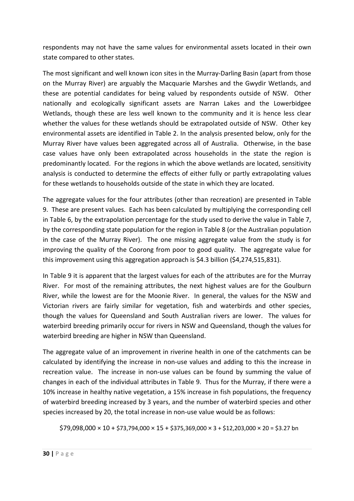respondents may not have the same values for environmental assets located in their own state compared to other states.

The most significant and well known icon sites in the Murray-Darling Basin (apart from those on the Murray River) are arguably the Macquarie Marshes and the Gwydir Wetlands, and these are potential candidates for being valued by respondents outside of NSW. Other nationally and ecologically significant assets are Narran Lakes and the Lowerbidgee Wetlands, though these are less well known to the community and it is hence less clear whether the values for these wetlands should be extrapolated outside of NSW. Other key environmental assets are identified in Table 2. In the analysis presented below, only for the Murray River have values been aggregated across all of Australia. Otherwise, in the base case values have only been extrapolated across households in the state the region is predominantly located. For the regions in which the above wetlands are located, sensitivity analysis is conducted to determine the effects of either fully or partly extrapolating values for these wetlands to households outside of the state in which they are located.

The aggregate values for the four attributes (other than recreation) are presented in Table 9. These are present values. Each has been calculated by multiplying the corresponding cell in Table 6, by the extrapolation percentage for the study used to derive the value in Table 7, by the corresponding state population for the region in Table 8 (or the Australian population in the case of the Murray River). The one missing aggregate value from the study is for improving the quality of the Coorong from poor to good quality. The aggregate value for this improvement using this aggregation approach is \$4.3 billion (\$4,274,515,831).

In Table 9 it is apparent that the largest values for each of the attributes are for the Murray River. For most of the remaining attributes, the next highest values are for the Goulburn River, while the lowest are for the Moonie River. In general, the values for the NSW and Victorian rivers are fairly similar for vegetation, fish and waterbirds and other species, though the values for Queensland and South Australian rivers are lower. The values for waterbird breeding primarily occur for rivers in NSW and Queensland, though the values for waterbird breeding are higher in NSW than Queensland.

The aggregate value of an improvement in riverine health in one of the catchments can be calculated by identifying the increase in non-use values and adding to this the increase in recreation value. The increase in non-use values can be found by summing the value of changes in each of the individual attributes in Table 9. Thus for the Murray, if there were a 10% increase in healthy native vegetation, a 15% increase in fish populations, the frequency of waterbird breeding increased by 3 years, and the number of waterbird species and other species increased by 20, the total increase in non-use value would be as follows:

 $$79,098,000 \times 10 + $73,794,000 \times 15 + $375,369,000 \times 3 + $12,203,000 \times 20 = $3.27$  bn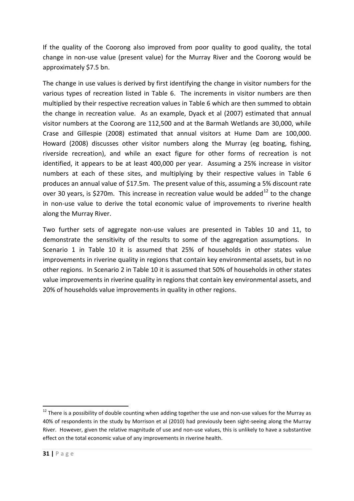If the quality of the Coorong also improved from poor quality to good quality, the total change in non-use value (present value) for the Murray River and the Coorong would be approximately \$7.5 bn.

The change in use values is derived by first identifying the change in visitor numbers for the various types of recreation listed in Table 6. The increments in visitor numbers are then multiplied by their respective recreation values in Table 6 which are then summed to obtain the change in recreation value. As an example, Dyack et al (2007) estimated that annual visitor numbers at the Coorong are 112,500 and at the Barmah Wetlands are 30,000, while Crase and Gillespie (2008) estimated that annual visitors at Hume Dam are 100,000. Howard (2008) discusses other visitor numbers along the Murray (eg boating, fishing, riverside recreation), and while an exact figure for other forms of recreation is not identified, it appears to be at least 400,000 per year. Assuming a 25% increase in visitor numbers at each of these sites, and multiplying by their respective values in Table 6 produces an annual value of \$17.5m. The present value of this, assuming a 5% discount rate over 30 years, is \$270m. This increase in recreation value would be added<sup>[12](#page-30-0)</sup> to the change in non-use value to derive the total economic value of improvements to riverine health along the Murray River.

Two further sets of aggregate non-use values are presented in Tables 10 and 11, to demonstrate the sensitivity of the results to some of the aggregation assumptions. In Scenario 1 in Table 10 it is assumed that 25% of households in other states value improvements in riverine quality in regions that contain key environmental assets, but in no other regions. In Scenario 2 in Table 10 it is assumed that 50% of households in other states value improvements in riverine quality in regions that contain key environmental assets, and 20% of households value improvements in quality in other regions.

<span id="page-30-0"></span> $12$  There is a possibility of double counting when adding together the use and non-use values for the Murray as 40% of respondents in the study by Morrison et al (2010) had previously been sight-seeing along the Murray River. However, given the relative magnitude of use and non-use values, this is unlikely to have a substantive effect on the total economic value of any improvements in riverine health.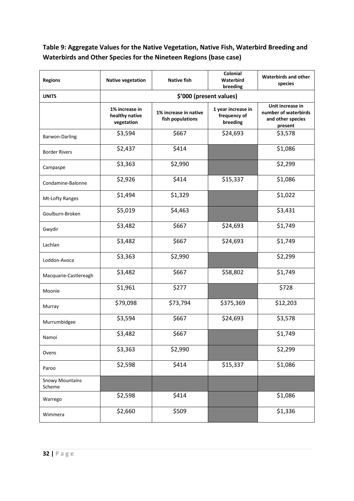## **Table 9: Aggregate Values for the Native Vegetation, Native Fish, Waterbird Breeding and Waterbirds and Other Species for the Nineteen Regions (base case)**

| <b>Regions</b>                   | <b>Native vegetation</b>                       | <b>Native fish</b>                        | Colonial<br>Waterbird<br>breeding              | <b>Waterbirds and other</b><br>species                                   |
|----------------------------------|------------------------------------------------|-------------------------------------------|------------------------------------------------|--------------------------------------------------------------------------|
| <b>UNITS</b>                     |                                                |                                           |                                                |                                                                          |
|                                  | 1% increase in<br>healthy native<br>vegetation | 1% increase in native<br>fish populations | 1 year increase in<br>frequency of<br>breeding | Unit increase in<br>number of waterbirds<br>and other species<br>present |
| Barwon-Darling                   | \$3,594                                        | \$667                                     | \$24,693                                       | \$3,578                                                                  |
| <b>Border Rivers</b>             | \$2,437                                        | \$414                                     |                                                | \$1,086                                                                  |
| Campaspe                         | \$3,363                                        | \$2,990                                   |                                                | \$2,299                                                                  |
| Condamine-Balonne                | \$2,926                                        | \$414                                     | \$15,337                                       | \$1,086                                                                  |
| Mt-Lofty Ranges                  | \$1,494                                        | \$1,329                                   |                                                | \$1,022                                                                  |
| Goulburn-Broken                  | \$5,019                                        | \$4,463                                   |                                                | \$3,431                                                                  |
| Gwydir                           | \$3,482                                        | \$667                                     | \$24,693                                       | \$1,749                                                                  |
| Lachlan                          | \$3,482                                        | \$667                                     | \$24,693                                       | \$1,749                                                                  |
| Loddon-Avoca                     | \$3,363                                        | \$2,990                                   |                                                | \$2,299                                                                  |
| Macquarie-Castlereagh            | \$3,482                                        | \$667                                     | \$58,802                                       | \$1,749                                                                  |
| Moonie                           | \$1,961                                        | \$277                                     |                                                | \$728                                                                    |
| Murray                           | \$79,098                                       | \$73,794                                  | \$375,369                                      | \$12,203                                                                 |
| Murrumbidgee                     | \$3,594                                        | \$667                                     | \$24,693                                       | \$3,578                                                                  |
| Namoi                            | \$3,482                                        | \$667                                     |                                                | \$1,749                                                                  |
| Ovens                            | \$3,363                                        | \$2,990                                   |                                                | \$2,299                                                                  |
| Paroo                            | \$2,598                                        | \$414                                     | \$15,337                                       | \$1,086                                                                  |
| <b>Snowy Mountains</b><br>Scheme |                                                |                                           |                                                |                                                                          |
| Warrego                          | \$2,598                                        | \$414                                     |                                                | \$1,086                                                                  |
| Wimmera                          | \$2,660                                        | \$509                                     |                                                | \$1,336                                                                  |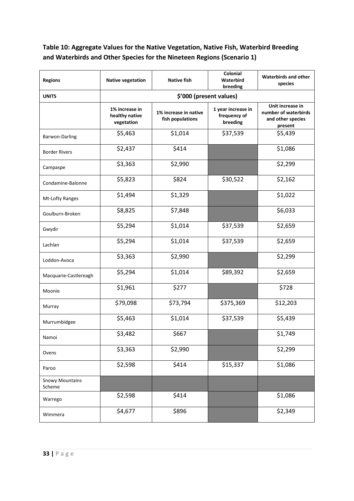## **Table 10: Aggregate Values for the Native Vegetation, Native Fish, Waterbird Breeding and Waterbirds and Other Species for the Nineteen Regions (Scenario 1)**

| <b>Regions</b>                   | <b>Native vegetation</b>                       | <b>Native fish</b>                        | Colonial<br>Waterbird<br>breeding              | <b>Waterbirds and other</b><br>species                                   |  |  |  |
|----------------------------------|------------------------------------------------|-------------------------------------------|------------------------------------------------|--------------------------------------------------------------------------|--|--|--|
| <b>UNITS</b>                     | \$'000 (present values)                        |                                           |                                                |                                                                          |  |  |  |
|                                  | 1% increase in<br>healthy native<br>vegetation | 1% increase in native<br>fish populations | 1 year increase in<br>frequency of<br>breeding | Unit increase in<br>number of waterbirds<br>and other species<br>present |  |  |  |
| Barwon-Darling                   | \$5,463                                        | \$1,014                                   | \$37,539                                       | \$5,439                                                                  |  |  |  |
| <b>Border Rivers</b>             | \$2,437                                        | \$414                                     |                                                | \$1,086                                                                  |  |  |  |
| Campaspe                         | \$3,363                                        | \$2,990                                   |                                                | \$2,299                                                                  |  |  |  |
| Condamine-Balonne                | \$5,823                                        | \$824                                     | \$30,522                                       | \$2,162                                                                  |  |  |  |
| Mt-Lofty Ranges                  | \$1,494                                        | \$1,329                                   |                                                | \$1,022                                                                  |  |  |  |
| Goulburn-Broken                  | \$8,825                                        | \$7,848                                   |                                                | \$6,033                                                                  |  |  |  |
| Gwydir                           | \$5,294                                        | \$1,014                                   | \$37,539                                       | \$2,659                                                                  |  |  |  |
| Lachlan                          | \$5,294                                        | \$1,014                                   | \$37,539                                       | \$2,659                                                                  |  |  |  |
| Loddon-Avoca                     | \$3,363                                        | \$2,990                                   |                                                | \$2,299                                                                  |  |  |  |
| Macquarie-Castlereagh            | \$5,294                                        | \$1,014                                   | \$89,392                                       | \$2,659                                                                  |  |  |  |
| Moonie                           | \$1,961                                        | \$277                                     |                                                | \$728                                                                    |  |  |  |
| Murray                           | \$79,098                                       | \$73,794                                  | \$375,369                                      | \$12,203                                                                 |  |  |  |
| Murrumbidgee                     | \$5,463                                        | \$1,014                                   | \$37,539                                       | \$5,439                                                                  |  |  |  |
| Namoi                            | \$3,482                                        | \$667                                     |                                                | \$1,749                                                                  |  |  |  |
| Ovens                            | \$3,363                                        | \$2,990                                   |                                                | \$2,299                                                                  |  |  |  |
| Paroo                            | \$2,598                                        | \$414                                     | \$15,337                                       | \$1,086                                                                  |  |  |  |
| <b>Snowy Mountains</b><br>Scheme |                                                |                                           |                                                |                                                                          |  |  |  |
| Warrego                          | \$2,598                                        | \$414                                     |                                                | \$1,086                                                                  |  |  |  |
| Wimmera                          | \$4,677                                        | \$896                                     |                                                | \$2,349                                                                  |  |  |  |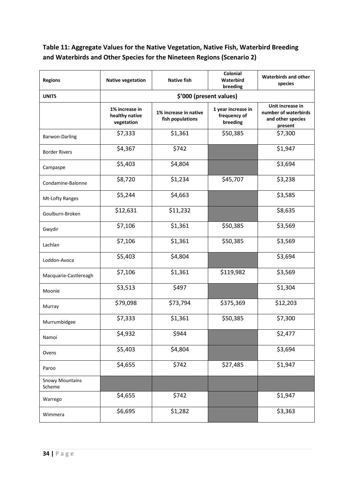## **Table 11: Aggregate Values for the Native Vegetation, Native Fish, Waterbird Breeding and Waterbirds and Other Species for the Nineteen Regions (Scenario 2)**

| <b>Regions</b>                   | <b>Native vegetation</b>                       | <b>Native fish</b>                        | Colonial<br>Waterbird<br>breeding              | <b>Waterbirds and other</b><br>species                                   |
|----------------------------------|------------------------------------------------|-------------------------------------------|------------------------------------------------|--------------------------------------------------------------------------|
| <b>UNITS</b>                     | \$'000 (present values)                        |                                           |                                                |                                                                          |
|                                  | 1% increase in<br>healthy native<br>vegetation | 1% increase in native<br>fish populations | 1 year increase in<br>frequency of<br>breeding | Unit increase in<br>number of waterbirds<br>and other species<br>present |
| Barwon-Darling                   | \$7,333                                        | \$1,361                                   | \$50,385                                       | \$7,300                                                                  |
| <b>Border Rivers</b>             | \$4,367                                        | \$742                                     |                                                | \$1,947                                                                  |
| Campaspe                         | \$5,403                                        | \$4,804                                   |                                                | \$3,694                                                                  |
| Condamine-Balonne                | \$8,720                                        | \$1,234                                   | \$45,707                                       | \$3,238                                                                  |
| Mt-Lofty Ranges                  | \$5,244                                        | \$4,663                                   |                                                | \$3,585                                                                  |
| Goulburn-Broken                  | \$12,631                                       | \$11,232                                  |                                                | \$8,635                                                                  |
| Gwydir                           | \$7,106                                        | \$1,361                                   | \$50,385                                       | \$3,569                                                                  |
| Lachlan                          | \$7,106                                        | \$1,361                                   | \$50,385                                       | \$3,569                                                                  |
| Loddon-Avoca                     | \$5,403                                        | \$4,804                                   |                                                | \$3,694                                                                  |
| Macquarie-Castlereagh            | \$7,106                                        | \$1,361                                   | \$119,982                                      | \$3,569                                                                  |
| Moonie                           | \$3,513                                        | \$497                                     |                                                | \$1,304                                                                  |
| Murray                           | \$79,098                                       | \$73,794                                  | \$375,369                                      | \$12,203                                                                 |
| Murrumbidgee                     | \$7,333                                        | \$1,361                                   | \$50,385                                       | \$7,300                                                                  |
| Namoi                            | \$4,932                                        | \$944                                     |                                                | \$2,477                                                                  |
| Ovens                            | \$5,403                                        | \$4,804                                   |                                                | \$3,694                                                                  |
| Paroo                            | \$4,655                                        | \$742                                     | \$27,485                                       | \$1,947                                                                  |
| <b>Snowy Mountains</b><br>Scheme |                                                |                                           |                                                |                                                                          |
| Warrego                          | \$4,655                                        | \$742                                     |                                                | \$1,947                                                                  |
| Wimmera                          | \$6,695                                        | \$1,282                                   |                                                | \$3,363                                                                  |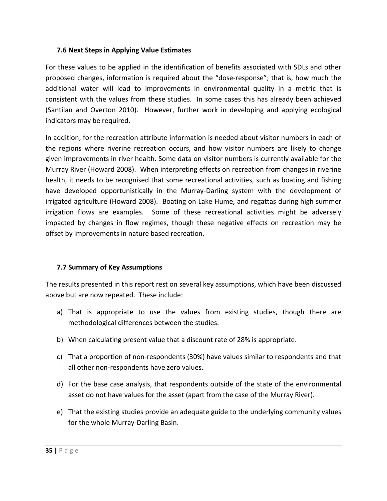#### **7.6 Next Steps in Applying Value Estimates**

For these values to be applied in the identification of benefits associated with SDLs and other proposed changes, information is required about the "dose-response"; that is, how much the additional water will lead to improvements in environmental quality in a metric that is consistent with the values from these studies. In some cases this has already been achieved (Santilan and Overton 2010). However, further work in developing and applying ecological indicators may be required.

In addition, for the recreation attribute information is needed about visitor numbers in each of the regions where riverine recreation occurs, and how visitor numbers are likely to change given improvements in river health. Some data on visitor numbers is currently available for the Murray River (Howard 2008). When interpreting effects on recreation from changes in riverine health, it needs to be recognised that some recreational activities, such as boating and fishing have developed opportunistically in the Murray-Darling system with the development of irrigated agriculture (Howard 2008). Boating on Lake Hume, and regattas during high summer irrigation flows are examples. Some of these recreational activities might be adversely impacted by changes in flow regimes, though these negative effects on recreation may be offset by improvements in nature based recreation.

#### **7.7 Summary of Key Assumptions**

The results presented in this report rest on several key assumptions, which have been discussed above but are now repeated. These include:

- a) That is appropriate to use the values from existing studies, though there are methodological differences between the studies.
- b) When calculating present value that a discount rate of 28% is appropriate.
- c) That a proportion of non-respondents (30%) have values similar to respondents and that all other non-respondents have zero values.
- d) For the base case analysis, that respondents outside of the state of the environmental asset do not have values for the asset (apart from the case of the Murray River).
- e) That the existing studies provide an adequate guide to the underlying community values for the whole Murray-Darling Basin.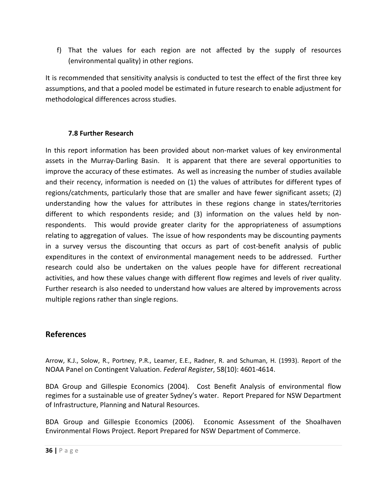f) That the values for each region are not affected by the supply of resources (environmental quality) in other regions.

It is recommended that sensitivity analysis is conducted to test the effect of the first three key assumptions, and that a pooled model be estimated in future research to enable adjustment for methodological differences across studies.

#### **7.8 Further Research**

In this report information has been provided about non-market values of key environmental assets in the Murray-Darling Basin. It is apparent that there are several opportunities to improve the accuracy of these estimates. As well as increasing the number of studies available and their recency, information is needed on (1) the values of attributes for different types of regions/catchments, particularly those that are smaller and have fewer significant assets; (2) understanding how the values for attributes in these regions change in states/territories different to which respondents reside; and (3) information on the values held by nonrespondents. This would provide greater clarity for the appropriateness of assumptions relating to aggregation of values. The issue of how respondents may be discounting payments in a survey versus the discounting that occurs as part of cost-benefit analysis of public expenditures in the context of environmental management needs to be addressed. Further research could also be undertaken on the values people have for different recreational activities, and how these values change with different flow regimes and levels of river quality. Further research is also needed to understand how values are altered by improvements across multiple regions rather than single regions.

#### **References**

Arrow, K.J., Solow, R., Portney, P.R., Leamer, E.E., Radner, R. and Schuman, H. (1993). Report of the NOAA Panel on Contingent Valuation. *Federal Register*, 58(10): 4601-4614.

BDA Group and Gillespie Economics (2004). Cost Benefit Analysis of environmental flow regimes for a sustainable use of greater Sydney's water. Report Prepared for NSW Department of Infrastructure, Planning and Natural Resources.

BDA Group and Gillespie Economics (2006). Economic Assessment of the Shoalhaven Environmental Flows Project. Report Prepared for NSW Department of Commerce.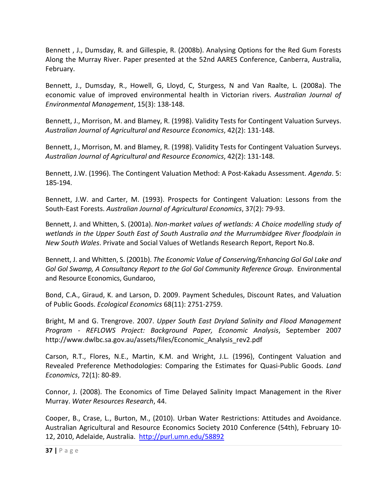Bennett , J., Dumsday, R. and Gillespie, R. (2008b). Analysing Options for the Red Gum Forests Along the Murray River. Paper presented at the 52nd AARES Conference, Canberra, Australia, February.

Bennett, J., Dumsday, R., Howell, G, Lloyd, C, Sturgess, N and Van Raalte, L. (2008a). The economic value of improved environmental health in Victorian rivers. *Australian Journal of Environmental Management*, 15(3): 138-148.

Bennett, J., Morrison, M. and Blamey, R. (1998). Validity Tests for Contingent Valuation Surveys. *Australian Journal of Agricultural and Resource Economics*, 42(2): 131-148.

Bennett, J., Morrison, M. and Blamey, R. (1998). Validity Tests for Contingent Valuation Surveys. *Australian Journal of Agricultural and Resource Economics*, 42(2): 131-148.

Bennett, J.W. (1996). The Contingent Valuation Method: A Post-Kakadu Assessment. *Agenda*. 5: 185-194.

Bennett, J.W. and Carter, M. (1993). Prospects for Contingent Valuation: Lessons from the South-East Forests. *Australian Journal of Agricultural Economics*, 37(2): 79-93.

Bennett, J. and Whitten, S. (2001a). *Non-market values of wetlands: A Choice modelling study of wetlands in the Upper South East of South Australia and the Murrumbidgee River floodplain in New South Wales*. Private and Social Values of Wetlands Research Report, Report No.8.

Bennett, J. and Whitten, S. (2001b). *The Economic Value of Conserving/Enhancing Gol Gol Lake and Gol Gol Swamp, A Consultancy Report to the Gol Gol Community Reference Group*. Environmental and Resource Economics, Gundaroo,

Bond, C.A., Giraud, K. and Larson, D. 2009. Payment Schedules, Discount Rates, and Valuation of Public Goods. *Ecological Economics* 68(11): 2751-2759.

Bright, M and G. Trengrove. 2007. *Upper South East Dryland Salinity and Flood Management Program - REFLOWS Project: Background Paper, Economic Analysis*, September 2007 [http://www.dwlbc.sa.gov.au/assets/files/Economic\\_Analysis\\_rev2.pdf](http://www.dwlbc.sa.gov.au/assets/files/Economic_Analysis_rev2.pdf)

Carson, R.T., Flores, N.E., Martin, K.M. and Wright, J.L. (1996), Contingent Valuation and Revealed Preference Methodologies: Comparing the Estimates for Quasi-Public Goods. *Land Economics*, 72(1): 80-89.

Connor, J. (2008). The Economics of Time Delayed Salinity Impact Management in the River Murray. *Water Resources Research*, 44.

Cooper, B., Crase, L., Burton, M., (2010). Urban Water Restrictions: Attitudes and Avoidance. Australian Agricultural and Resource Economics Society 2010 Conference (54th), February 10- 12, 2010, Adelaide, Australia. <http://purl.umn.edu/58892>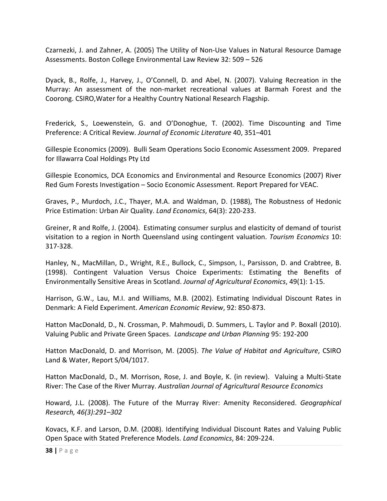Czarnezki, J. and Zahner, A. (2005) The Utility of Non-Use Values in Natural Resource Damage Assessments. Boston College Environmental Law Review 32: 509 – 526

Dyack, B., Rolfe, J., Harvey, J., O'Connell, D. and Abel, N. (2007). Valuing Recreation in the Murray: An assessment of the non-market recreational values at Barmah Forest and the Coorong. CSIRO,Water for a Healthy Country National Research Flagship.

Frederick, S., Loewenstein, G. and O'Donoghue, T. (2002). Time Discounting and Time Preference: A Critical Review. *Journal of Economic Literature* 40, 351–401

Gillespie Economics (2009). Bulli Seam Operations Socio Economic Assessment 2009. Prepared for Illawarra Coal Holdings Pty Ltd

Gillespie Economics, DCA Economics and Environmental and Resource Economics (2007) River Red Gum Forests Investigation – Socio Economic Assessment. Report Prepared for VEAC.

Graves, P., Murdoch, J.C., Thayer, M.A. and Waldman, D. (1988), The Robustness of Hedonic Price Estimation: Urban Air Quality. *Land Economics*, 64(3): 220-233.

Greiner, R and Rolfe, J. (2004). Estimating consumer surplus and elasticity of demand of tourist visitation to a region in North Queensland using contingent valuation. *Tourism Economics* 10: 317-328.

Hanley, N., MacMillan, D., Wright, R.E., Bullock, C., Simpson, I., Parsisson, D. and Crabtree, B. (1998). Contingent Valuation Versus Choice Experiments: Estimating the Benefits of Environmentally Sensitive Areas in Scotland. *Journal of Agricultural Economics*, 49(1): 1-15.

Harrison, G.W., Lau, M.I. and Williams, M.B. (2002). Estimating Individual Discount Rates in Denmark: A Field Experiment. *American Economic Review*, 92: 850-873.

Hatton MacDonald, D., N. Crossman, P. Mahmoudi, D. Summers, L. Taylor and P. Boxall (2010). Valuing Public and Private Green Spaces. *Landscape and Urban Planning* 95: 192-200

Hatton MacDonald, D. and Morrison, M. (2005). *The Value of Habitat and Agriculture*, CSIRO Land & Water, Report S/04/1017.

Hatton MacDonald, D., M. Morrison, Rose, J. and Boyle, K. (in review). Valuing a Multi-State River: The Case of the River Murray. *Australian Journal of Agricultural Resource Economics*

Howard, J.L. (2008). The Future of the Murray River: Amenity Reconsidered. *Geographical Research, 46(3):291–302*

Kovacs, K.F. and Larson, D.M. (2008). Identifying Individual Discount Rates and Valuing Public Open Space with Stated Preference Models. *Land Economics*, 84: 209-224.

**38 |** Page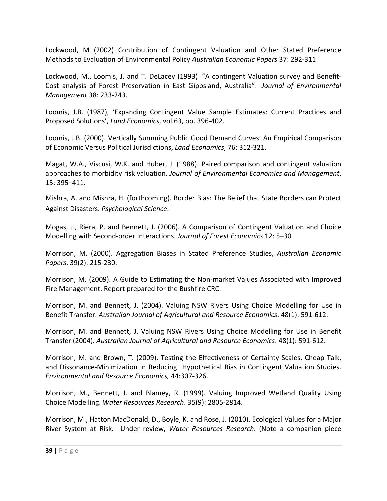Lockwood, M (2002) Contribution of Contingent Valuation and Other Stated Preference Methods to Evaluation of Environmental Policy *Australian Economic Papers* 37: 292-311

Lockwood, M., Loomis, J. and T. DeLacey (1993) "A contingent Valuation survey and Benefit-Cost analysis of Forest Preservation in East Gippsland, Australia". *Journal of Environmental Management* 38: 233-243.

Loomis, J.B. (1987), 'Expanding Contingent Value Sample Estimates: Current Practices and Proposed Solutions', *Land Economics*, vol.63, pp. 396-402.

Loomis, J.B. (2000). Vertically Summing Public Good Demand Curves: An Empirical Comparison of Economic Versus Political Jurisdictions, *Land Economics*, 76: 312-321.

Magat, W.A., Viscusi, W.K. and Huber, J. (1988). Paired comparison and contingent valuation approaches to morbidity risk valuation. *Journal of Environmental Economics and Management*, 15: 395–411.

Mishra, A. and Mishra, H. (forthcoming). Border Bias: The Belief that State Borders can Protect Against Disasters. *Psychological Science*.

Mogas, J., Riera, P. and Bennett, J. (2006). A Comparison of Contingent Valuation and Choice Modelling with Second-order Interactions. *Journal of Forest Economics* 12: 5–30

Morrison, M. (2000). Aggregation Biases in Stated Preference Studies, *Australian Economic Papers*, 39(2): 215-230.

Morrison, M. (2009). A Guide to Estimating the Non-market Values Associated with Improved Fire Management. Report prepared for the Bushfire CRC.

Morrison, M. and Bennett, J. (2004). Valuing NSW Rivers Using Choice Modelling for Use in Benefit Transfer. *Australian Journal of Agricultural and Resource Economics*. 48(1): 591-612.

Morrison, M. and Bennett, J. Valuing NSW Rivers Using Choice Modelling for Use in Benefit Transfer (2004). *Australian Journal of Agricultural and Resource Economics*. 48(1): 591-612.

Morrison, M. and Brown, T. (2009). Testing the Effectiveness of Certainty Scales, Cheap Talk, and Dissonance-Minimization in Reducing Hypothetical Bias in Contingent Valuation Studies. *Environmental and Resource Economics,* 44:307-326.

Morrison, M., Bennett, J. and Blamey, R. (1999). Valuing Improved Wetland Quality Using Choice Modelling. *Water Resources Research*. 35(9): 2805-2814.

Morrison, M., Hatton MacDonald, D., Boyle, K. and Rose, J. (2010). Ecological Values for a Major River System at Risk. Under review, *Water Resources Research*. (Note a companion piece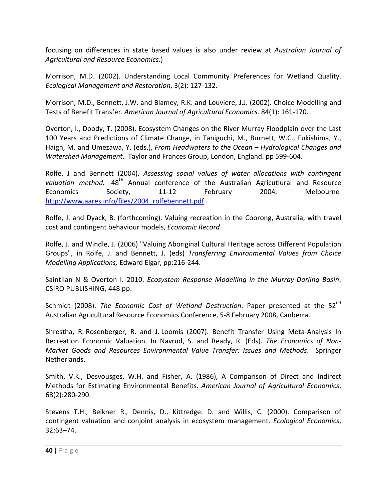focusing on differences in state based values is also under review at *Australian Journal of Agricultural and Resource Economics.*)

Morrison, M.D. (2002). Understanding Local Community Preferences for Wetland Quality. *Ecological Management and Restoration*, 3(2): 127-132.

Morrison, M.D., Bennett, J.W. and Blamey, R.K. and Louviere, J.J. (2002). Choice Modelling and Tests of Benefit Transfer. *American Journal of Agricultural Economics.* 84(1): 161-170.

Overton, I., Doody, T. (2008). Ecosystem Changes on the River Murray Floodplain over the Last 100 Years and Predictions of Climate Change, in Taniguchi, M., Burnett, W.C., Fukishima, Y., Haigh, M. and Umezawa, Y. (eds.), *From Headwaters to the Ocean – Hydrological Changes and Watershed Management.* Taylor and Frances Group, London, England. pp 599-604.

Rolfe, J and Bennett (2004). *Assessing social values of water allocations with contingent*  valuation method. 48<sup>th</sup> Annual conference of the Australian Agricutlural and Resource Economics Society, 11-12 February 2004, Melbourne [http://www.aares.info/files/2004\\_rolfebennett.pdf](http://www.aares.info/files/2004_rolfebennett.pdf)

Rolfe, J. and Dyack, B. (forthcoming). Valuing recreation in the Coorong, Australia, with travel cost and contingent behaviour models, *Economic Record*

Rolfe, J. and Windle, J. (2006) "Valuing Aboriginal Cultural Heritage across Different Population Groups", in Rolfe, J. and Bennett, J. (eds) *Transferring Environmental Values from Choice Modelling Applications,* Edward Elgar, pp:216-244.

Saintilan N & Overton I. 2010. *Ecosystem Response Modelling in the Murray-Darling Basin*. CSIRO PUBLISHING, 448 pp.

Schmidt (2008). *The Economic Cost of Wetland Destruction*. Paper presented at the 52<sup>nd</sup> Australian Agricultural Resource Economics Conference, 5-8 February 2008, Canberra.

Shrestha, R. Rosenberger, R. and J. Loomis (2007). Benefit Transfer Using Meta-Analysis In Recreation Economic Valuation. In Navrud, S. and Ready, R. (Eds). *The Economics of Non-Market Goods and Resources Environmental Value Transfer: Issues and Methods*. Springer Netherlands.

Smith, V.K., Desvousges, W.H. and Fisher, A. (1986), A Comparison of Direct and Indirect Methods for Estimating Environmental Benefits. *American Journal of Agricultural Economics*, 68(2):280-290.

Stevens T.H., Belkner R., Dennis, D., Kittredge. D. and Willis, C. (2000). Comparison of contingent valuation and conjoint analysis in ecosystem management. *Ecological Economics*, 32:63–74.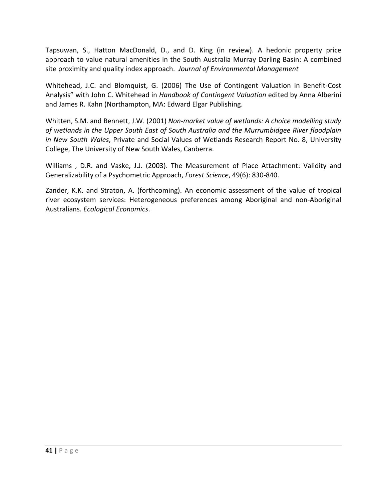Tapsuwan, S., Hatton MacDonald, D., and D. King (in review). A hedonic property price approach to value natural amenities in the South Australia Murray Darling Basin: A combined site proximity and quality index approach. *Journal of Environmental Management*

Whitehead, J.C. and Blomquist, G. (2006) The Use of Contingent Valuation in Benefit-Cost Analysis" with John C. Whitehead in *Handbook of Contingent Valuation* edited by Anna Alberini and James R. Kahn (Northampton, MA: Edward Elgar Publishing.

Whitten, S.M. and Bennett, J.W. (2001) *Non-market value of wetlands: A choice modelling study of wetlands in the Upper South East of South Australia and the Murrumbidgee River floodplain in New South Wales*, Private and Social Values of Wetlands Research Report No. 8, University College, The University of New South Wales, Canberra.

Williams , D.R. and Vaske, J.J. (2003). The Measurement of Place Attachment: Validity and Generalizability of a Psychometric Approach, *Forest Science*, 49(6): 830-840.

Zander, K.K. and Straton, A. (forthcoming). An economic assessment of the value of tropical river ecosystem services: Heterogeneous preferences among Aboriginal and non-Aboriginal Australians. *Ecological Economics*.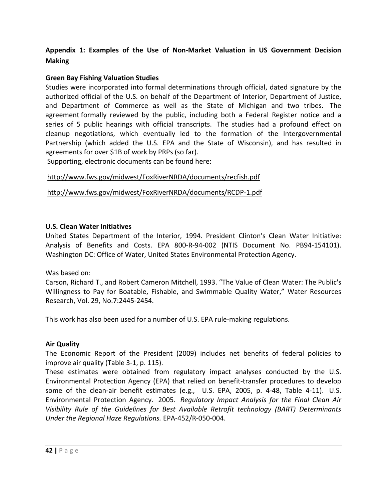### **Appendix 1: Examples of the Use of Non-Market Valuation in US Government Decision Making**

#### **Green Bay Fishing Valuation Studies**

Studies were incorporated into formal determinations through official, dated signature by the authorized official of the U.S. on behalf of the Department of Interior, Department of Justice, and Department of Commerce as well as the State of Michigan and two tribes. The agreement formally reviewed by the public, including both a Federal Register notice and a series of 5 public hearings with official transcripts. The studies had a profound effect on cleanup negotiations, which eventually led to the formation of the Intergovernmental Partnership (which added the U.S. EPA and the State of Wisconsin), and has resulted in agreements for over \$1B of work by PRPs (so far).

Supporting, electronic documents can be found here:

<http://www.fws.gov/midwest/FoxRiverNRDA/documents/recfish.pdf>

<http://www.fws.gov/midwest/FoxRiverNRDA/documents/RCDP-1.pdf>

#### **U.S. Clean Water Initiatives**

United States Department of the Interior, 1994. President Clinton's Clean Water Initiative: Analysis of Benefits and Costs. EPA 800-R-94-002 (NTIS Document No. PB94-154101). Washington DC: Office of Water, United States Environmental Protection Agency.

#### Was based on:

Carson, Richard T., and Robert Cameron Mitchell, 1993. "The Value of Clean Water: The Public's Willingness to Pay for Boatable, Fishable, and Swimmable Quality Water," Water Resources Research, Vol. 29, No.7:2445-2454.

This work has also been used for a number of U.S. EPA rule-making regulations.

#### **Air Quality**

The Economic Report of the President (2009) includes net benefits of federal policies to improve air quality (Table 3-1, p. 115).

These estimates were obtained from regulatory impact analyses conducted by the U.S. Environmental Protection Agency (EPA) that relied on benefit-transfer procedures to develop some of the clean-air benefit estimates (e.g., U.S. EPA, 2005, p. 4-48, Table 4-11). U.S. Environmental Protection Agency. 2005. *Regulatory Impact Analysis for the Final Clean Air Visibility Rule of the Guidelines for Best Available Retrofit technology (BART) Determinants Under the Regional Haze Regulations.* EPA-452/R-050-004.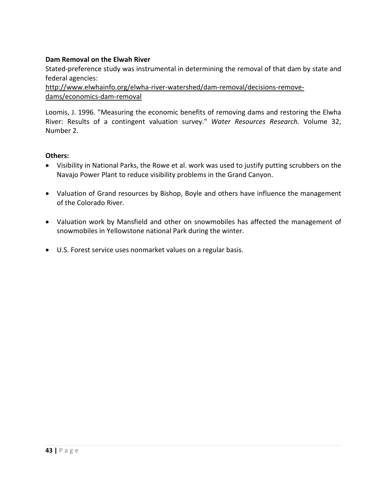#### **Dam Removal on the Elwah River**

Stated-preference study was instrumental in determining the removal of that dam by state and federal agencies:

[http://www.elwhainfo.org/elwha-river-watershed/dam-removal/decisions-remove](http://www.elwhainfo.org/elwha-river-watershed/dam-removal/decisions-remove-dams/economics-dam-removal)[dams/economics-dam-removal](http://www.elwhainfo.org/elwha-river-watershed/dam-removal/decisions-remove-dams/economics-dam-removal)

Loomis, J. 1996. "Measuring the economic benefits of removing dams and restoring the Elwha River: Results of a contingent valuation survey." *Water Resources Research.* Volume 32, Number 2.

#### **Others:**

- Visibility in National Parks, the Rowe et al. work was used to justify putting scrubbers on the Navajo Power Plant to reduce visibility problems in the Grand Canyon.
- Valuation of Grand resources by Bishop, Boyle and others have influence the management of the Colorado River.
- Valuation work by Mansfield and other on snowmobiles has affected the management of snowmobiles in Yellowstone national Park during the winter.
- U.S. Forest service uses nonmarket values on a regular basis.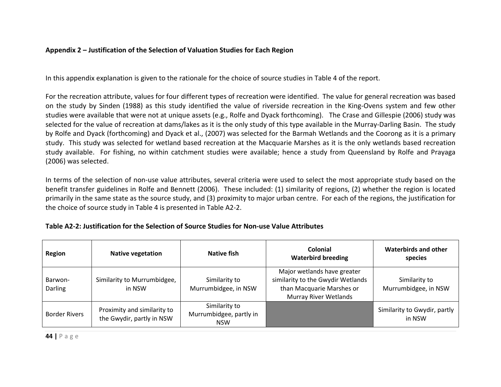#### **Appendix 2 – Justification of the Selection of Valuation Studies for Each Region**

In this appendix explanation is given to the rationale for the choice of source studies in Table 4 of the report.

For the recreation attribute, values for four different types of recreation were identified. The value for general recreation was based on the study by Sinden (1988) as this study identified the value of riverside recreation in the King-Ovens system and few other studies were available that were not at unique assets (e.g., Rolfe and Dyack forthcoming). The Crase and Gillespie (2006) study was selected for the value of recreation at dams/lakes as it is the only study of this type available in the Murray-Darling Basin. The study by Rolfe and Dyack (forthcoming) and Dyack et al., (2007) was selected for the Barmah Wetlands and the Coorong as it is a primary study. This study was selected for wetland based recreation at the Macquarie Marshes as it is the only wetlands based recreation study available. For fishing, no within catchment studies were available; hence a study from Queensland by Rolfe and Prayaga (2006) was selected.

In terms of the selection of non-use value attributes, several criteria were used to select the most appropriate study based on the benefit transfer guidelines in Rolfe and Bennett (2006). These included: (1) similarity of regions, (2) whether the region is located primarily in the same state as the source study, and (3) proximity to major urban centre. For each of the regions, the justification for the choice of source study in Table 4 is presented in Table A2-2.

| <b>Region</b>        | <b>Native vegetation</b>                                 | Native fish                                            | Colonial<br><b>Waterbird breeding</b>                                                                                         | <b>Waterbirds and other</b><br>species |
|----------------------|----------------------------------------------------------|--------------------------------------------------------|-------------------------------------------------------------------------------------------------------------------------------|----------------------------------------|
| Barwon-<br>Darling   | Similarity to Murrumbidgee,<br>in NSW                    | Similarity to<br>Murrumbidgee, in NSW                  | Major wetlands have greater<br>similarity to the Gwydir Wetlands<br>than Macquarie Marshes or<br><b>Murray River Wetlands</b> | Similarity to<br>Murrumbidgee, in NSW  |
| <b>Border Rivers</b> | Proximity and similarity to<br>the Gwydir, partly in NSW | Similarity to<br>Murrumbidgee, partly in<br><b>NSW</b> |                                                                                                                               | Similarity to Gwydir, partly<br>in NSW |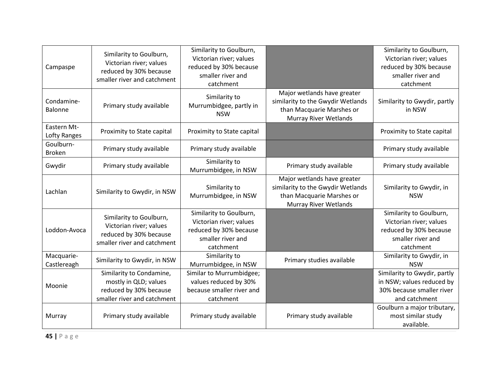| Campaspe                    | Similarity to Goulburn,<br>Victorian river; values<br>reduced by 30% because<br>smaller river and catchment | Similarity to Goulburn,<br>Victorian river; values<br>reduced by 30% because<br>smaller river and<br>catchment |                                                                                                                               | Similarity to Goulburn,<br>Victorian river; values<br>reduced by 30% because<br>smaller river and<br>catchment |
|-----------------------------|-------------------------------------------------------------------------------------------------------------|----------------------------------------------------------------------------------------------------------------|-------------------------------------------------------------------------------------------------------------------------------|----------------------------------------------------------------------------------------------------------------|
| Condamine-<br>Balonne       | Primary study available                                                                                     | Similarity to<br>Murrumbidgee, partly in<br><b>NSW</b>                                                         | Major wetlands have greater<br>similarity to the Gwydir Wetlands<br>than Macquarie Marshes or<br><b>Murray River Wetlands</b> | Similarity to Gwydir, partly<br>in NSW                                                                         |
| Eastern Mt-<br>Lofty Ranges | Proximity to State capital                                                                                  | Proximity to State capital                                                                                     |                                                                                                                               | Proximity to State capital                                                                                     |
| Goulburn-<br><b>Broken</b>  | Primary study available                                                                                     | Primary study available                                                                                        |                                                                                                                               | Primary study available                                                                                        |
| Gwydir                      | Primary study available                                                                                     | Similarity to<br>Murrumbidgee, in NSW                                                                          | Primary study available                                                                                                       | Primary study available                                                                                        |
| Lachlan                     | Similarity to Gwydir, in NSW                                                                                | Similarity to<br>Murrumbidgee, in NSW                                                                          | Major wetlands have greater<br>similarity to the Gwydir Wetlands<br>than Macquarie Marshes or<br><b>Murray River Wetlands</b> | Similarity to Gwydir, in<br><b>NSW</b>                                                                         |
| Loddon-Avoca                | Similarity to Goulburn,<br>Victorian river; values<br>reduced by 30% because<br>smaller river and catchment | Similarity to Goulburn,<br>Victorian river; values<br>reduced by 30% because<br>smaller river and<br>catchment |                                                                                                                               | Similarity to Goulburn,<br>Victorian river; values<br>reduced by 30% because<br>smaller river and<br>catchment |
| Macquarie-<br>Castlereagh   | Similarity to Gwydir, in NSW                                                                                | Similarity to<br>Murrumbidgee, in NSW                                                                          | Primary studies available                                                                                                     | Similarity to Gwydir, in<br><b>NSW</b>                                                                         |
| Moonie                      | Similarity to Condamine,<br>mostly in QLD; values<br>reduced by 30% because<br>smaller river and catchment  | Similar to Murrumbidgee;<br>values reduced by 30%<br>because smaller river and<br>catchment                    |                                                                                                                               | Similarity to Gwydir, partly<br>in NSW; values reduced by<br>30% because smaller river<br>and catchment        |
| Murray                      | Primary study available                                                                                     | Primary study available                                                                                        | Primary study available                                                                                                       | Goulburn a major tributary,<br>most similar study<br>available.                                                |